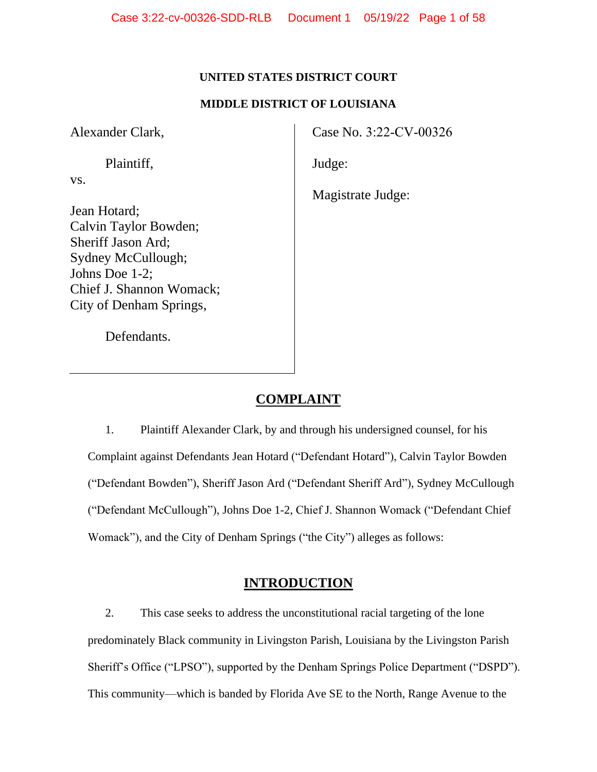## **UNITED STATES DISTRICT COURT**

### **MIDDLE DISTRICT OF LOUISIANA**

Alexander Clark,

vs.

Plaintiff,

Jean Hotard; Calvin Taylor Bowden; Sheriff Jason Ard; Sydney McCullough; Johns Doe 1-2; Chief J. Shannon Womack; City of Denham Springs,

Case No. 3:22-CV-00326

Judge:

Magistrate Judge:

Defendants.

# **COMPLAINT**

1. Plaintiff Alexander Clark, by and through his undersigned counsel, for his Complaint against Defendants Jean Hotard ("Defendant Hotard"), Calvin Taylor Bowden ("Defendant Bowden"), Sheriff Jason Ard ("Defendant Sheriff Ard"), Sydney McCullough ("Defendant McCullough"), Johns Doe 1-2, Chief J. Shannon Womack ("Defendant Chief Womack"), and the City of Denham Springs ("the City") alleges as follows:

# **INTRODUCTION**

2. This case seeks to address the unconstitutional racial targeting of the lone predominately Black community in Livingston Parish, Louisiana by the Livingston Parish Sheriff's Office ("LPSO"), supported by the Denham Springs Police Department ("DSPD"). This community—which is banded by Florida Ave SE to the North, Range Avenue to the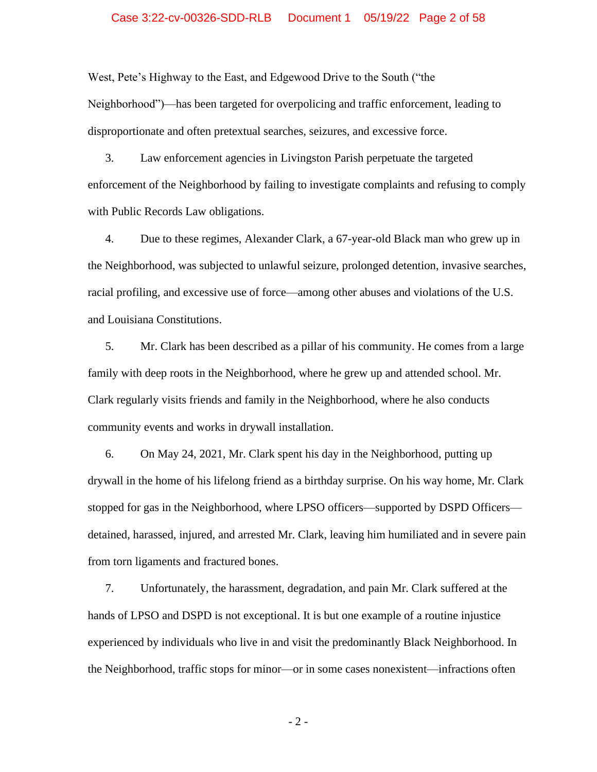#### Case 3:22-cv-00326-SDD-RLB Document 1 05/19/22 Page 2 of 58

West, Pete's Highway to the East, and Edgewood Drive to the South ("the Neighborhood")—has been targeted for overpolicing and traffic enforcement, leading to disproportionate and often pretextual searches, seizures, and excessive force.

3. Law enforcement agencies in Livingston Parish perpetuate the targeted enforcement of the Neighborhood by failing to investigate complaints and refusing to comply with Public Records Law obligations.

4. Due to these regimes, Alexander Clark, a 67-year-old Black man who grew up in the Neighborhood, was subjected to unlawful seizure, prolonged detention, invasive searches, racial profiling, and excessive use of force—among other abuses and violations of the U.S. and Louisiana Constitutions.

5. Mr. Clark has been described as a pillar of his community. He comes from a large family with deep roots in the Neighborhood, where he grew up and attended school. Mr. Clark regularly visits friends and family in the Neighborhood, where he also conducts community events and works in drywall installation.

6. On May 24, 2021, Mr. Clark spent his day in the Neighborhood, putting up drywall in the home of his lifelong friend as a birthday surprise. On his way home, Mr. Clark stopped for gas in the Neighborhood, where LPSO officers—supported by DSPD Officers detained, harassed, injured, and arrested Mr. Clark, leaving him humiliated and in severe pain from torn ligaments and fractured bones.

7. Unfortunately, the harassment, degradation, and pain Mr. Clark suffered at the hands of LPSO and DSPD is not exceptional. It is but one example of a routine injustice experienced by individuals who live in and visit the predominantly Black Neighborhood. In the Neighborhood, traffic stops for minor—or in some cases nonexistent—infractions often

- 2 -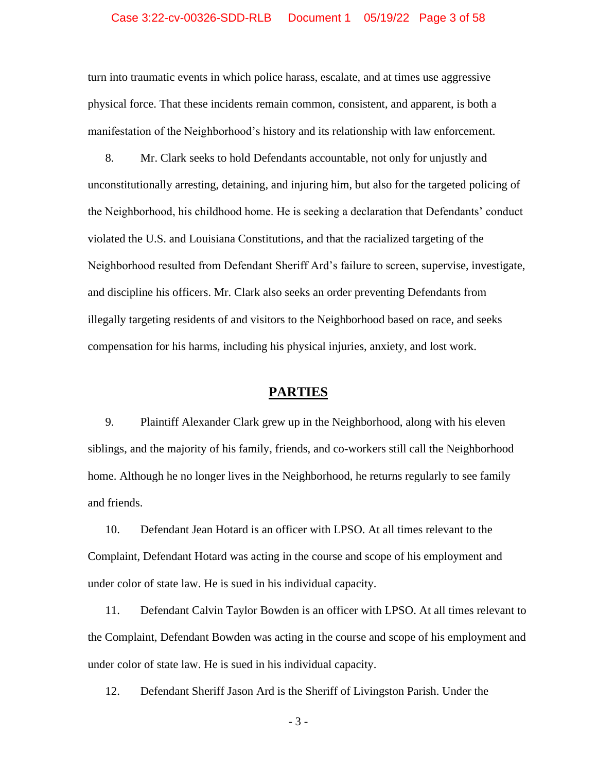turn into traumatic events in which police harass, escalate, and at times use aggressive physical force. That these incidents remain common, consistent, and apparent, is both a manifestation of the Neighborhood's history and its relationship with law enforcement.

8. Mr. Clark seeks to hold Defendants accountable, not only for unjustly and unconstitutionally arresting, detaining, and injuring him, but also for the targeted policing of the Neighborhood, his childhood home. He is seeking a declaration that Defendants' conduct violated the U.S. and Louisiana Constitutions, and that the racialized targeting of the Neighborhood resulted from Defendant Sheriff Ard's failure to screen, supervise, investigate, and discipline his officers. Mr. Clark also seeks an order preventing Defendants from illegally targeting residents of and visitors to the Neighborhood based on race, and seeks compensation for his harms, including his physical injuries, anxiety, and lost work.

# **PARTIES**

9. Plaintiff Alexander Clark grew up in the Neighborhood, along with his eleven siblings, and the majority of his family, friends, and co-workers still call the Neighborhood home. Although he no longer lives in the Neighborhood, he returns regularly to see family and friends.

10. Defendant Jean Hotard is an officer with LPSO. At all times relevant to the Complaint, Defendant Hotard was acting in the course and scope of his employment and under color of state law. He is sued in his individual capacity.

11. Defendant Calvin Taylor Bowden is an officer with LPSO. At all times relevant to the Complaint, Defendant Bowden was acting in the course and scope of his employment and under color of state law. He is sued in his individual capacity.

12. Defendant Sheriff Jason Ard is the Sheriff of Livingston Parish. Under the

- 3 -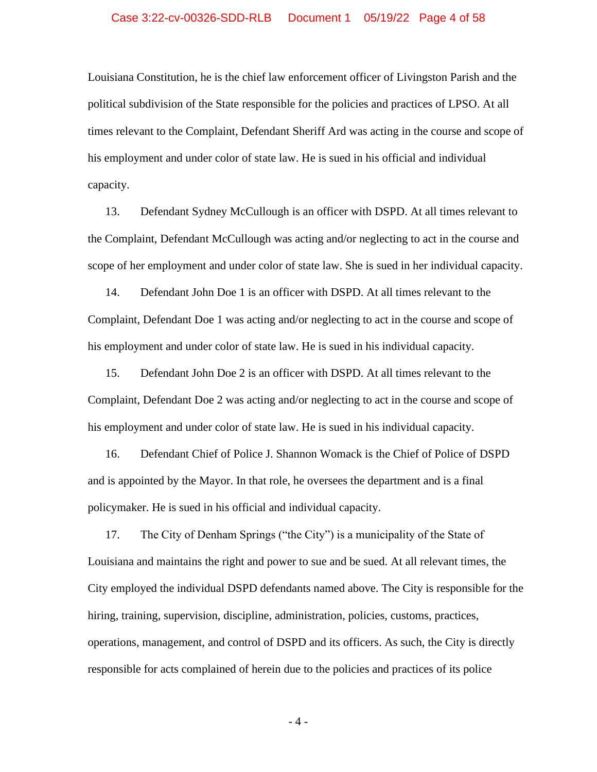#### Case 3:22-cv-00326-SDD-RLB Document 1 05/19/22 Page 4 of 58

Louisiana Constitution, he is the chief law enforcement officer of Livingston Parish and the political subdivision of the State responsible for the policies and practices of LPSO. At all times relevant to the Complaint, Defendant Sheriff Ard was acting in the course and scope of his employment and under color of state law. He is sued in his official and individual capacity.

13. Defendant Sydney McCullough is an officer with DSPD. At all times relevant to the Complaint, Defendant McCullough was acting and/or neglecting to act in the course and scope of her employment and under color of state law. She is sued in her individual capacity.

14. Defendant John Doe 1 is an officer with DSPD. At all times relevant to the Complaint, Defendant Doe 1 was acting and/or neglecting to act in the course and scope of his employment and under color of state law. He is sued in his individual capacity.

15. Defendant John Doe 2 is an officer with DSPD. At all times relevant to the Complaint, Defendant Doe 2 was acting and/or neglecting to act in the course and scope of his employment and under color of state law. He is sued in his individual capacity.

16. Defendant Chief of Police J. Shannon Womack is the Chief of Police of DSPD and is appointed by the Mayor. In that role, he oversees the department and is a final policymaker. He is sued in his official and individual capacity.

17. The City of Denham Springs ("the City") is a municipality of the State of Louisiana and maintains the right and power to sue and be sued. At all relevant times, the City employed the individual DSPD defendants named above. The City is responsible for the hiring, training, supervision, discipline, administration, policies, customs, practices, operations, management, and control of DSPD and its officers. As such, the City is directly responsible for acts complained of herein due to the policies and practices of its police

- 4 -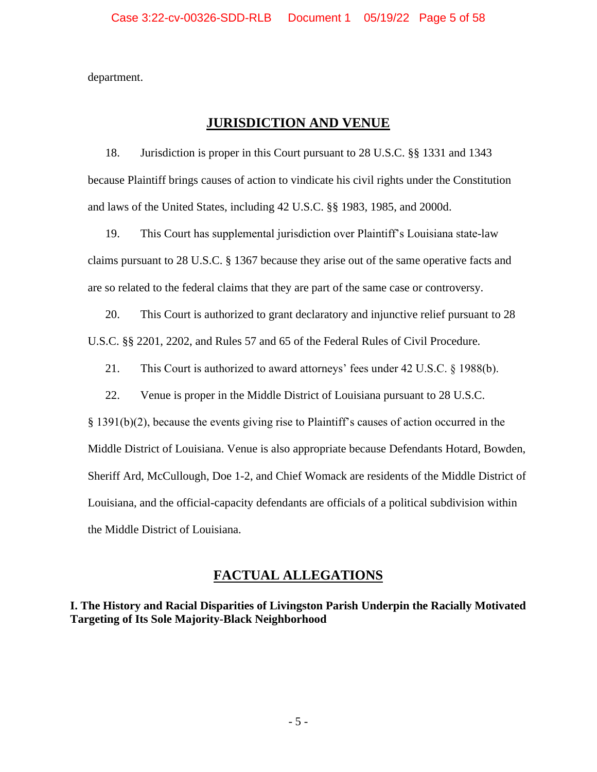department.

# **JURISDICTION AND VENUE**

18. Jurisdiction is proper in this Court pursuant to 28 U.S.C. §§ 1331 and 1343 because Plaintiff brings causes of action to vindicate his civil rights under the Constitution and laws of the United States, including 42 U.S.C. §§ 1983, 1985, and 2000d.

19. This Court has supplemental jurisdiction over Plaintiff's Louisiana state-law claims pursuant to 28 U.S.C. § 1367 because they arise out of the same operative facts and are so related to the federal claims that they are part of the same case or controversy.

20. This Court is authorized to grant declaratory and injunctive relief pursuant to 28 U.S.C. §§ 2201, 2202, and Rules 57 and 65 of the Federal Rules of Civil Procedure.

21. This Court is authorized to award attorneys' fees under 42 U.S.C. § 1988(b).

22. Venue is proper in the Middle District of Louisiana pursuant to 28 U.S.C.

§ 1391(b)(2), because the events giving rise to Plaintiff's causes of action occurred in the Middle District of Louisiana. Venue is also appropriate because Defendants Hotard, Bowden, Sheriff Ard, McCullough, Doe 1-2, and Chief Womack are residents of the Middle District of Louisiana, and the official-capacity defendants are officials of a political subdivision within the Middle District of Louisiana.

# **FACTUAL ALLEGATIONS**

**I. The History and Racial Disparities of Livingston Parish Underpin the Racially Motivated Targeting of Its Sole Majority-Black Neighborhood**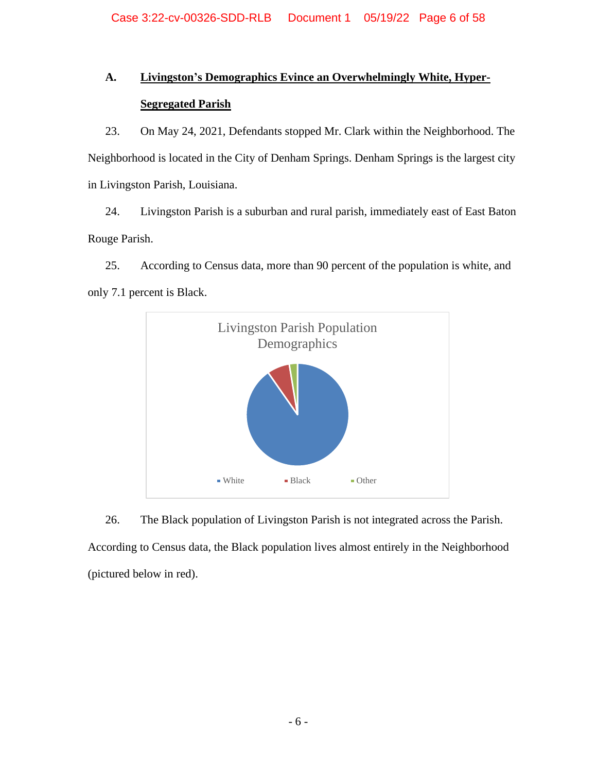# **A. Livingston's Demographics Evince an Overwhelmingly White, Hyper-Segregated Parish**

23. On May 24, 2021, Defendants stopped Mr. Clark within the Neighborhood. The Neighborhood is located in the City of Denham Springs. Denham Springs is the largest city in Livingston Parish, Louisiana.

24. Livingston Parish is a suburban and rural parish, immediately east of East Baton Rouge Parish.

25. According to Census data, more than 90 percent of the population is white, and only 7.1 percent is Black.



26. The Black population of Livingston Parish is not integrated across the Parish. According to Census data, the Black population lives almost entirely in the Neighborhood (pictured below in red).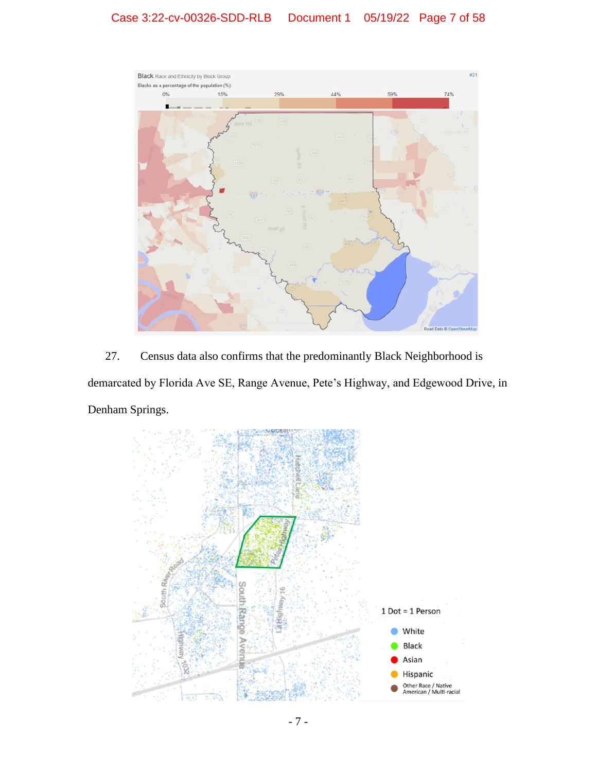# Case 3:22-cv-00326-SDD-RLB Document 1 05/19/22 Page 7 of 58



27. Census data also confirms that the predominantly Black Neighborhood is demarcated by Florida Ave SE, Range Avenue, Pete's Highway, and Edgewood Drive, in Denham Springs.

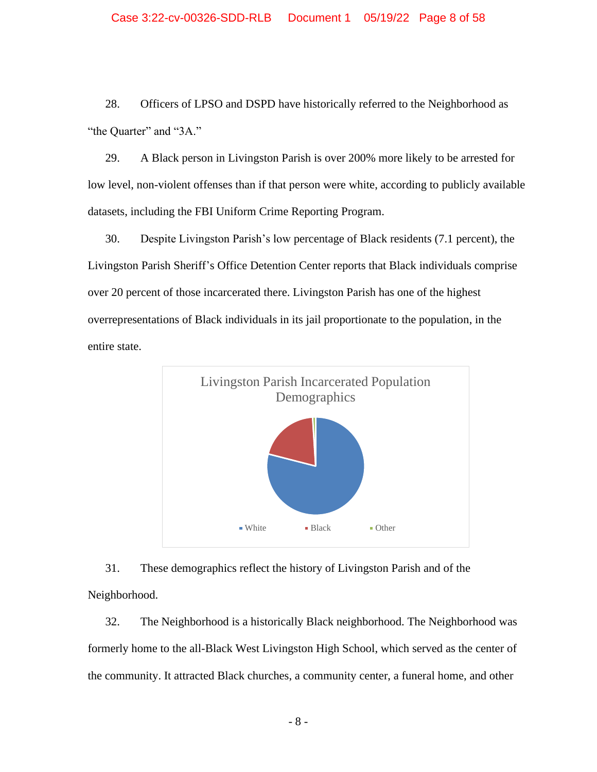28. Officers of LPSO and DSPD have historically referred to the Neighborhood as "the Quarter" and "3A."

29. A Black person in Livingston Parish is over 200% more likely to be arrested for low level, non-violent offenses than if that person were white, according to publicly available datasets, including the FBI Uniform Crime Reporting Program.

30. Despite Livingston Parish's low percentage of Black residents (7.1 percent), the Livingston Parish Sheriff's Office Detention Center reports that Black individuals comprise over 20 percent of those incarcerated there. Livingston Parish has one of the highest overrepresentations of Black individuals in its jail proportionate to the population, in the entire state.



31. These demographics reflect the history of Livingston Parish and of the Neighborhood.

32. The Neighborhood is a historically Black neighborhood. The Neighborhood was formerly home to the all-Black West Livingston High School, which served as the center of the community. It attracted Black churches, a community center, a funeral home, and other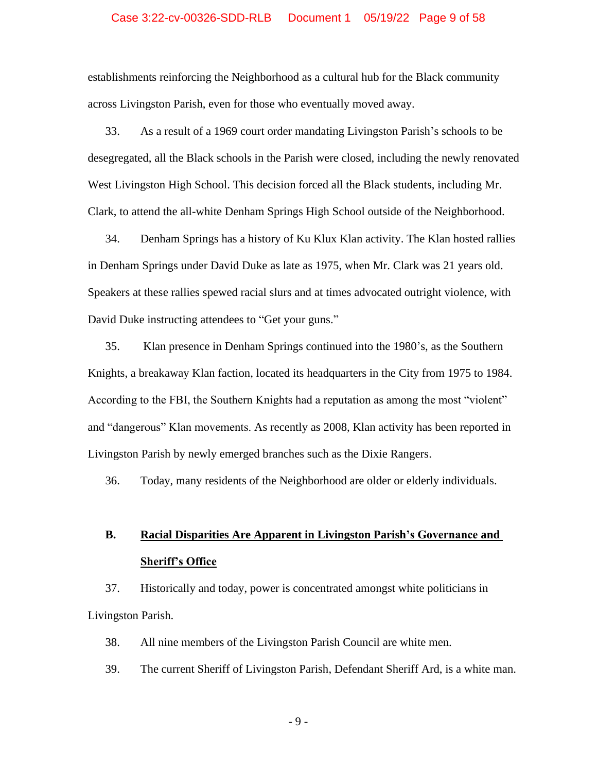#### Case 3:22-cv-00326-SDD-RLB Document 1 05/19/22 Page 9 of 58

establishments reinforcing the Neighborhood as a cultural hub for the Black community across Livingston Parish, even for those who eventually moved away.

33. As a result of a 1969 court order mandating Livingston Parish's schools to be desegregated, all the Black schools in the Parish were closed, including the newly renovated West Livingston High School. This decision forced all the Black students, including Mr. Clark, to attend the all-white Denham Springs High School outside of the Neighborhood.

34. Denham Springs has a history of Ku Klux Klan activity. The Klan hosted rallies in Denham Springs under David Duke as late as 1975, when Mr. Clark was 21 years old. Speakers at these rallies spewed racial slurs and at times advocated outright violence, with David Duke instructing attendees to "Get your guns."

35. Klan presence in Denham Springs continued into the 1980's, as the Southern Knights, a breakaway Klan faction, located its headquarters in the City from 1975 to 1984. According to the FBI, the Southern Knights had a reputation as among the most "violent" and "dangerous" Klan movements. As recently as 2008, Klan activity has been reported in Livingston Parish by newly emerged branches such as the Dixie Rangers.

36. Today, many residents of the Neighborhood are older or elderly individuals.

# **B. Racial Disparities Are Apparent in Livingston Parish's Governance and Sheriff's Office**

37. Historically and today, power is concentrated amongst white politicians in Livingston Parish.

38. All nine members of the Livingston Parish Council are white men.

39. The current Sheriff of Livingston Parish, Defendant Sheriff Ard, is a white man.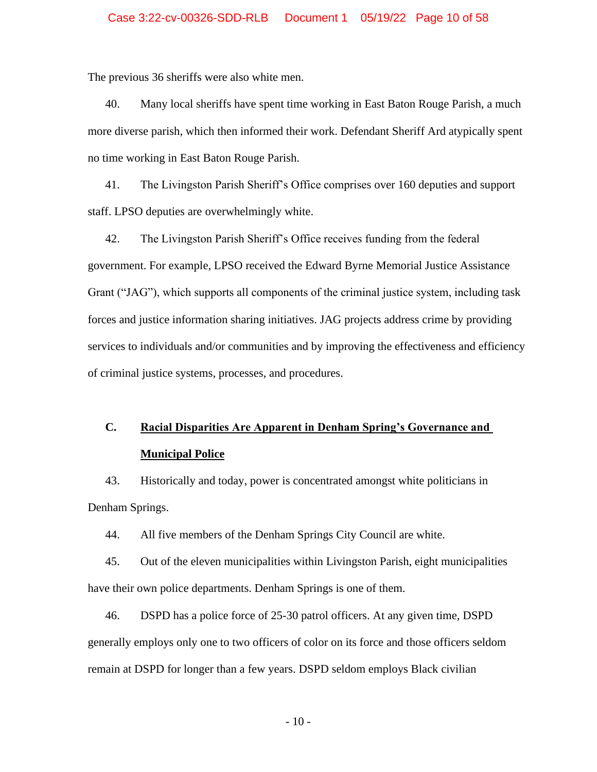The previous 36 sheriffs were also white men.

40. Many local sheriffs have spent time working in East Baton Rouge Parish, a much more diverse parish, which then informed their work. Defendant Sheriff Ard atypically spent no time working in East Baton Rouge Parish.

41. The Livingston Parish Sheriff's Office comprises over 160 deputies and support staff. LPSO deputies are overwhelmingly white.

42. The Livingston Parish Sheriff's Office receives funding from the federal government. For example, LPSO received the Edward Byrne Memorial Justice Assistance Grant ("JAG"), which supports all components of the criminal justice system, including task forces and justice information sharing initiatives. JAG projects address crime by providing services to individuals and/or communities and by improving the effectiveness and efficiency of criminal justice systems, processes, and procedures.

# **C. Racial Disparities Are Apparent in Denham Spring's Governance and Municipal Police**

43. Historically and today, power is concentrated amongst white politicians in Denham Springs.

44. All five members of the Denham Springs City Council are white.

45. Out of the eleven municipalities within Livingston Parish, eight municipalities have their own police departments. Denham Springs is one of them.

46. DSPD has a police force of 25-30 patrol officers. At any given time, DSPD generally employs only one to two officers of color on its force and those officers seldom remain at DSPD for longer than a few years. DSPD seldom employs Black civilian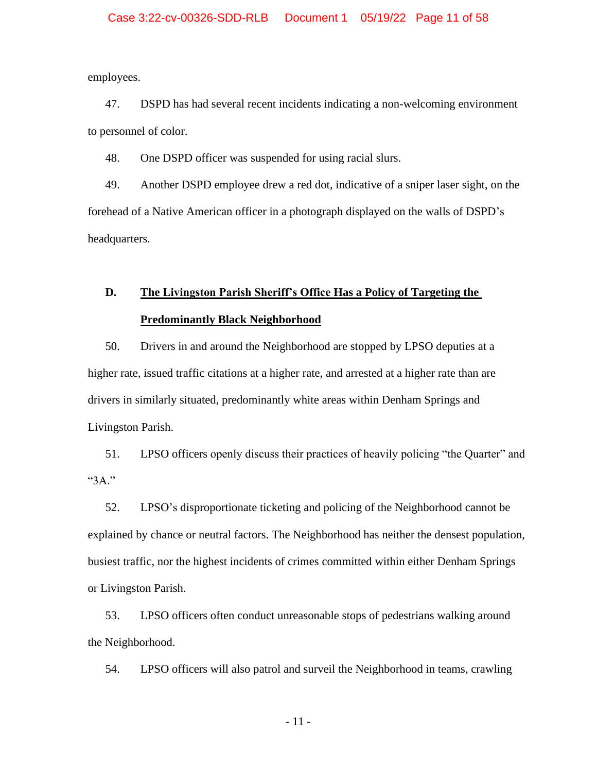employees.

47. DSPD has had several recent incidents indicating a non-welcoming environment to personnel of color.

48. One DSPD officer was suspended for using racial slurs.

49. Another DSPD employee drew a red dot, indicative of a sniper laser sight, on the forehead of a Native American officer in a photograph displayed on the walls of DSPD's headquarters.

# **D. The Livingston Parish Sheriff's Office Has a Policy of Targeting the Predominantly Black Neighborhood**

50. Drivers in and around the Neighborhood are stopped by LPSO deputies at a higher rate, issued traffic citations at a higher rate, and arrested at a higher rate than are drivers in similarly situated, predominantly white areas within Denham Springs and Livingston Parish.

51. LPSO officers openly discuss their practices of heavily policing "the Quarter" and "3A."

52. LPSO's disproportionate ticketing and policing of the Neighborhood cannot be explained by chance or neutral factors. The Neighborhood has neither the densest population, busiest traffic, nor the highest incidents of crimes committed within either Denham Springs or Livingston Parish.

53. LPSO officers often conduct unreasonable stops of pedestrians walking around the Neighborhood.

54. LPSO officers will also patrol and surveil the Neighborhood in teams, crawling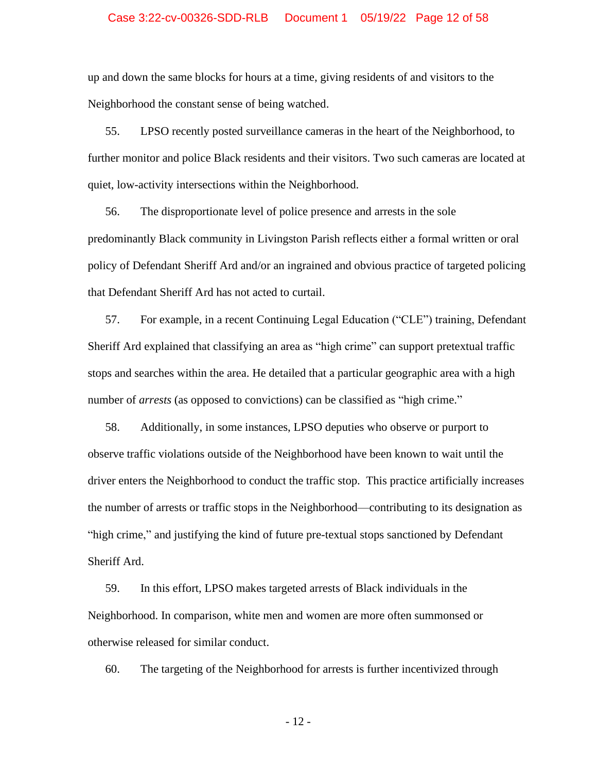### Case 3:22-cv-00326-SDD-RLB Document 1 05/19/22 Page 12 of 58

up and down the same blocks for hours at a time, giving residents of and visitors to the Neighborhood the constant sense of being watched.

55. LPSO recently posted surveillance cameras in the heart of the Neighborhood, to further monitor and police Black residents and their visitors. Two such cameras are located at quiet, low-activity intersections within the Neighborhood.

56. The disproportionate level of police presence and arrests in the sole predominantly Black community in Livingston Parish reflects either a formal written or oral policy of Defendant Sheriff Ard and/or an ingrained and obvious practice of targeted policing that Defendant Sheriff Ard has not acted to curtail.

57. For example, in a recent Continuing Legal Education ("CLE") training, Defendant Sheriff Ard explained that classifying an area as "high crime" can support pretextual traffic stops and searches within the area. He detailed that a particular geographic area with a high number of *arrests* (as opposed to convictions) can be classified as "high crime."

58. Additionally, in some instances, LPSO deputies who observe or purport to observe traffic violations outside of the Neighborhood have been known to wait until the driver enters the Neighborhood to conduct the traffic stop. This practice artificially increases the number of arrests or traffic stops in the Neighborhood—contributing to its designation as "high crime," and justifying the kind of future pre-textual stops sanctioned by Defendant Sheriff Ard.

59. In this effort, LPSO makes targeted arrests of Black individuals in the Neighborhood. In comparison, white men and women are more often summonsed or otherwise released for similar conduct.

60. The targeting of the Neighborhood for arrests is further incentivized through

- 12 -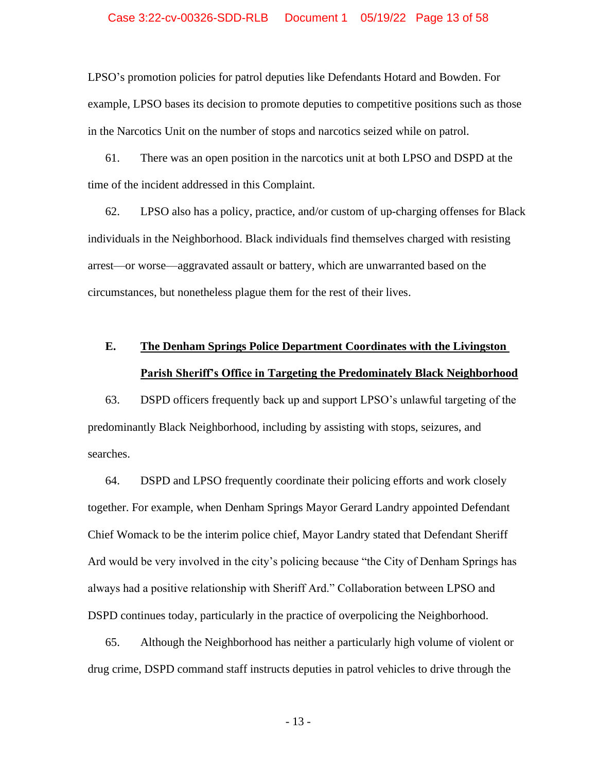LPSO's promotion policies for patrol deputies like Defendants Hotard and Bowden. For example, LPSO bases its decision to promote deputies to competitive positions such as those in the Narcotics Unit on the number of stops and narcotics seized while on patrol.

61. There was an open position in the narcotics unit at both LPSO and DSPD at the time of the incident addressed in this Complaint.

62. LPSO also has a policy, practice, and/or custom of up-charging offenses for Black individuals in the Neighborhood. Black individuals find themselves charged with resisting arrest—or worse—aggravated assault or battery, which are unwarranted based on the circumstances, but nonetheless plague them for the rest of their lives.

# **E. The Denham Springs Police Department Coordinates with the Livingston Parish Sheriff's Office in Targeting the Predominately Black Neighborhood**

63. DSPD officers frequently back up and support LPSO's unlawful targeting of the predominantly Black Neighborhood, including by assisting with stops, seizures, and searches.

64. DSPD and LPSO frequently coordinate their policing efforts and work closely together. For example, when Denham Springs Mayor Gerard Landry appointed Defendant Chief Womack to be the interim police chief, Mayor Landry stated that Defendant Sheriff Ard would be very involved in the city's policing because "the City of Denham Springs has always had a positive relationship with Sheriff Ard." Collaboration between LPSO and DSPD continues today, particularly in the practice of overpolicing the Neighborhood.

65. Although the Neighborhood has neither a particularly high volume of violent or drug crime, DSPD command staff instructs deputies in patrol vehicles to drive through the

- 13 -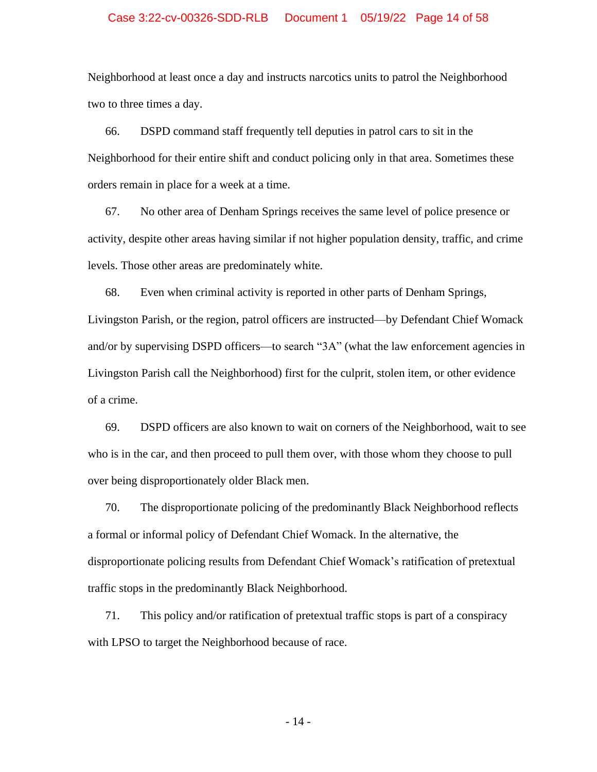### Case 3:22-cv-00326-SDD-RLB Document 1 05/19/22 Page 14 of 58

Neighborhood at least once a day and instructs narcotics units to patrol the Neighborhood two to three times a day.

66. DSPD command staff frequently tell deputies in patrol cars to sit in the Neighborhood for their entire shift and conduct policing only in that area. Sometimes these orders remain in place for a week at a time.

67. No other area of Denham Springs receives the same level of police presence or activity, despite other areas having similar if not higher population density, traffic, and crime levels. Those other areas are predominately white.

68. Even when criminal activity is reported in other parts of Denham Springs, Livingston Parish, or the region, patrol officers are instructed—by Defendant Chief Womack and/or by supervising DSPD officers—to search "3A" (what the law enforcement agencies in Livingston Parish call the Neighborhood) first for the culprit, stolen item, or other evidence of a crime.

69. DSPD officers are also known to wait on corners of the Neighborhood, wait to see who is in the car, and then proceed to pull them over, with those whom they choose to pull over being disproportionately older Black men.

70. The disproportionate policing of the predominantly Black Neighborhood reflects a formal or informal policy of Defendant Chief Womack. In the alternative, the disproportionate policing results from Defendant Chief Womack's ratification of pretextual traffic stops in the predominantly Black Neighborhood.

71. This policy and/or ratification of pretextual traffic stops is part of a conspiracy with LPSO to target the Neighborhood because of race.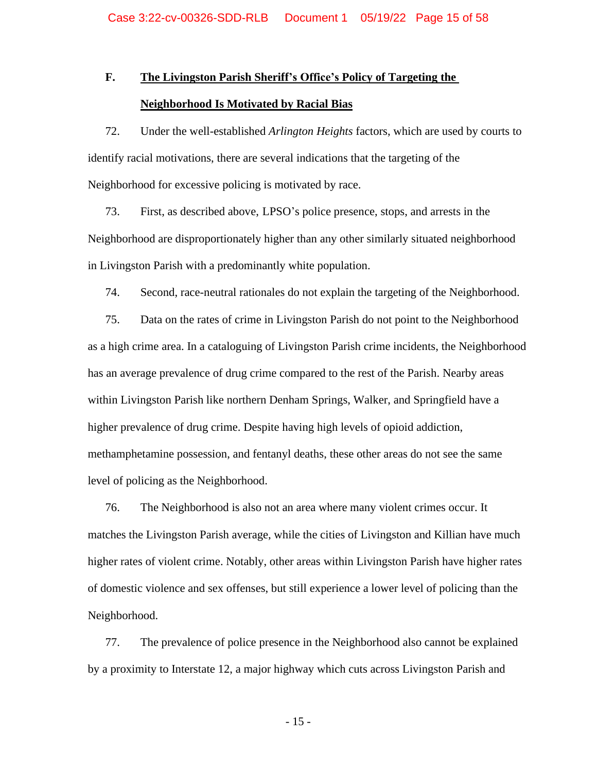# **F. The Livingston Parish Sheriff's Office's Policy of Targeting the Neighborhood Is Motivated by Racial Bias**

72. Under the well-established *Arlington Heights* factors, which are used by courts to identify racial motivations, there are several indications that the targeting of the Neighborhood for excessive policing is motivated by race.

73. First, as described above, LPSO's police presence, stops, and arrests in the Neighborhood are disproportionately higher than any other similarly situated neighborhood in Livingston Parish with a predominantly white population.

74. Second, race-neutral rationales do not explain the targeting of the Neighborhood.

75. Data on the rates of crime in Livingston Parish do not point to the Neighborhood as a high crime area. In a cataloguing of Livingston Parish crime incidents, the Neighborhood has an average prevalence of drug crime compared to the rest of the Parish. Nearby areas within Livingston Parish like northern Denham Springs, Walker, and Springfield have a higher prevalence of drug crime. Despite having high levels of opioid addiction, methamphetamine possession, and fentanyl deaths, these other areas do not see the same level of policing as the Neighborhood.

76. The Neighborhood is also not an area where many violent crimes occur. It matches the Livingston Parish average, while the cities of Livingston and Killian have much higher rates of violent crime. Notably, other areas within Livingston Parish have higher rates of domestic violence and sex offenses, but still experience a lower level of policing than the Neighborhood.

77. The prevalence of police presence in the Neighborhood also cannot be explained by a proximity to Interstate 12, a major highway which cuts across Livingston Parish and

- 15 -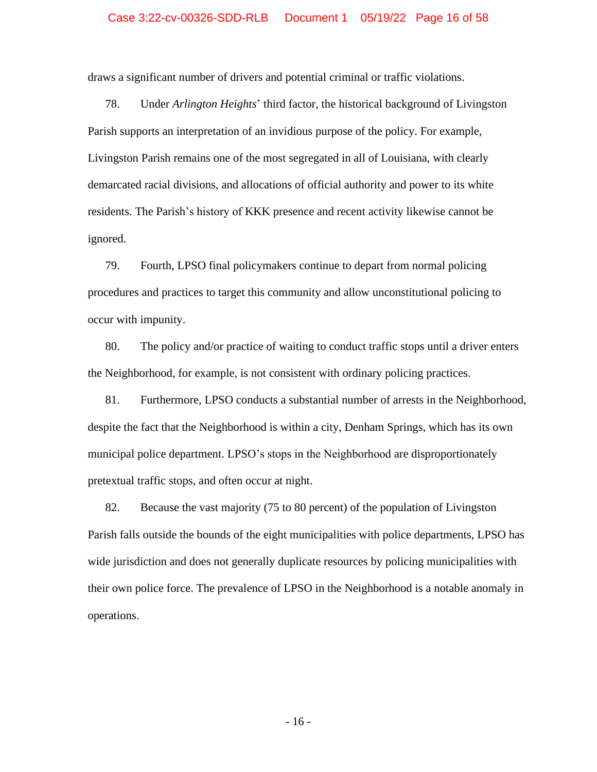#### Case 3:22-cv-00326-SDD-RLB Document 1 05/19/22 Page 16 of 58

draws a significant number of drivers and potential criminal or traffic violations.

78. Under *Arlington Heights*' third factor, the historical background of Livingston Parish supports an interpretation of an invidious purpose of the policy. For example, Livingston Parish remains one of the most segregated in all of Louisiana, with clearly demarcated racial divisions, and allocations of official authority and power to its white residents. The Parish's history of KKK presence and recent activity likewise cannot be ignored.

79. Fourth, LPSO final policymakers continue to depart from normal policing procedures and practices to target this community and allow unconstitutional policing to occur with impunity.

80. The policy and/or practice of waiting to conduct traffic stops until a driver enters the Neighborhood, for example, is not consistent with ordinary policing practices.

81. Furthermore, LPSO conducts a substantial number of arrests in the Neighborhood, despite the fact that the Neighborhood is within a city, Denham Springs, which has its own municipal police department. LPSO's stops in the Neighborhood are disproportionately pretextual traffic stops, and often occur at night.

82. Because the vast majority (75 to 80 percent) of the population of Livingston Parish falls outside the bounds of the eight municipalities with police departments, LPSO has wide jurisdiction and does not generally duplicate resources by policing municipalities with their own police force. The prevalence of LPSO in the Neighborhood is a notable anomaly in operations.

- 16 -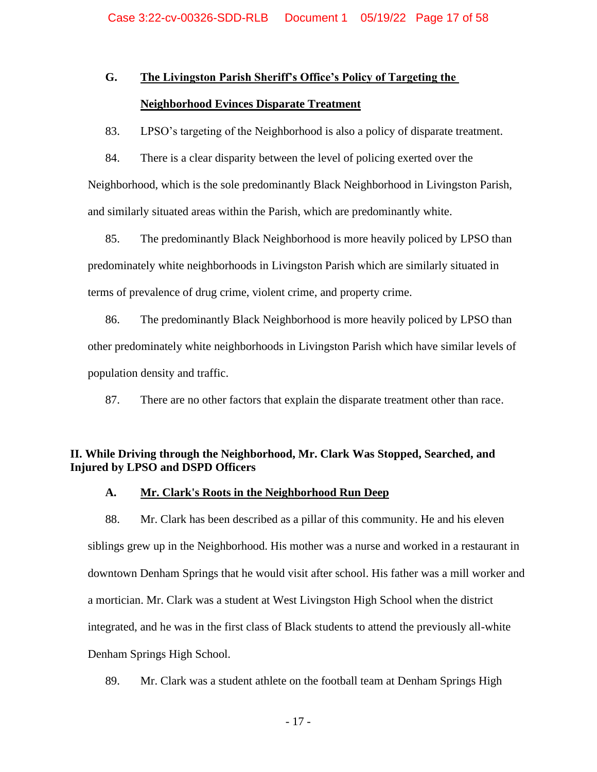# **G. The Livingston Parish Sheriff's Office's Policy of Targeting the Neighborhood Evinces Disparate Treatment**

83. LPSO's targeting of the Neighborhood is also a policy of disparate treatment.

84. There is a clear disparity between the level of policing exerted over the Neighborhood, which is the sole predominantly Black Neighborhood in Livingston Parish, and similarly situated areas within the Parish, which are predominantly white.

85. The predominantly Black Neighborhood is more heavily policed by LPSO than predominately white neighborhoods in Livingston Parish which are similarly situated in terms of prevalence of drug crime, violent crime, and property crime.

86. The predominantly Black Neighborhood is more heavily policed by LPSO than other predominately white neighborhoods in Livingston Parish which have similar levels of population density and traffic.

87. There are no other factors that explain the disparate treatment other than race.

## **II. While Driving through the Neighborhood, Mr. Clark Was Stopped, Searched, and Injured by LPSO and DSPD Officers**

### **A. Mr. Clark's Roots in the Neighborhood Run Deep**

88. Mr. Clark has been described as a pillar of this community. He and his eleven siblings grew up in the Neighborhood. His mother was a nurse and worked in a restaurant in downtown Denham Springs that he would visit after school. His father was a mill worker and a mortician. Mr. Clark was a student at West Livingston High School when the district integrated, and he was in the first class of Black students to attend the previously all-white Denham Springs High School.

89. Mr. Clark was a student athlete on the football team at Denham Springs High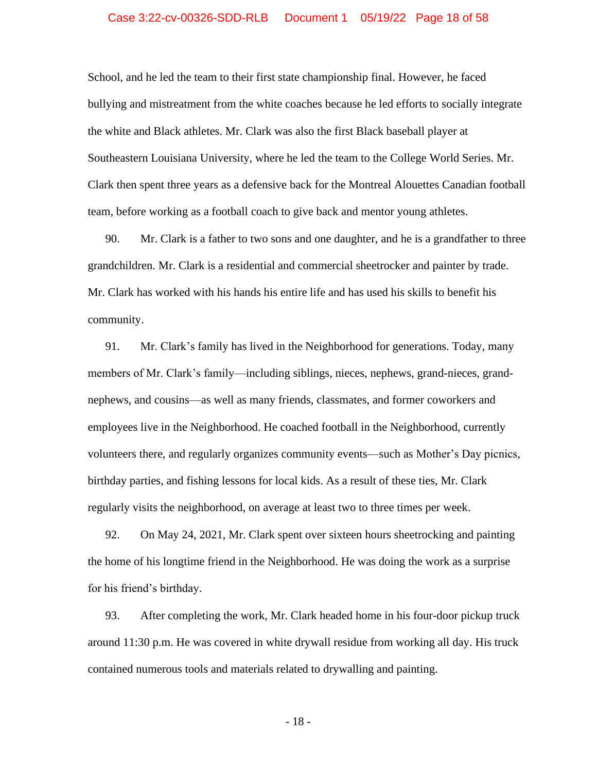### Case 3:22-cv-00326-SDD-RLB Document 1 05/19/22 Page 18 of 58

School, and he led the team to their first state championship final. However, he faced bullying and mistreatment from the white coaches because he led efforts to socially integrate the white and Black athletes. Mr. Clark was also the first Black baseball player at Southeastern Louisiana University, where he led the team to the College World Series. Mr. Clark then spent three years as a defensive back for the Montreal Alouettes Canadian football team, before working as a football coach to give back and mentor young athletes.

90. Mr. Clark is a father to two sons and one daughter, and he is a grandfather to three grandchildren. Mr. Clark is a residential and commercial sheetrocker and painter by trade. Mr. Clark has worked with his hands his entire life and has used his skills to benefit his community.

91. Mr. Clark's family has lived in the Neighborhood for generations. Today, many members of Mr. Clark's family—including siblings, nieces, nephews, grand-nieces, grandnephews, and cousins—as well as many friends, classmates, and former coworkers and employees live in the Neighborhood. He coached football in the Neighborhood, currently volunteers there, and regularly organizes community events—such as Mother's Day picnics, birthday parties, and fishing lessons for local kids. As a result of these ties, Mr. Clark regularly visits the neighborhood, on average at least two to three times per week.

92. On May 24, 2021, Mr. Clark spent over sixteen hours sheetrocking and painting the home of his longtime friend in the Neighborhood. He was doing the work as a surprise for his friend's birthday.

93. After completing the work, Mr. Clark headed home in his four-door pickup truck around 11:30 p.m. He was covered in white drywall residue from working all day. His truck contained numerous tools and materials related to drywalling and painting.

- 18 -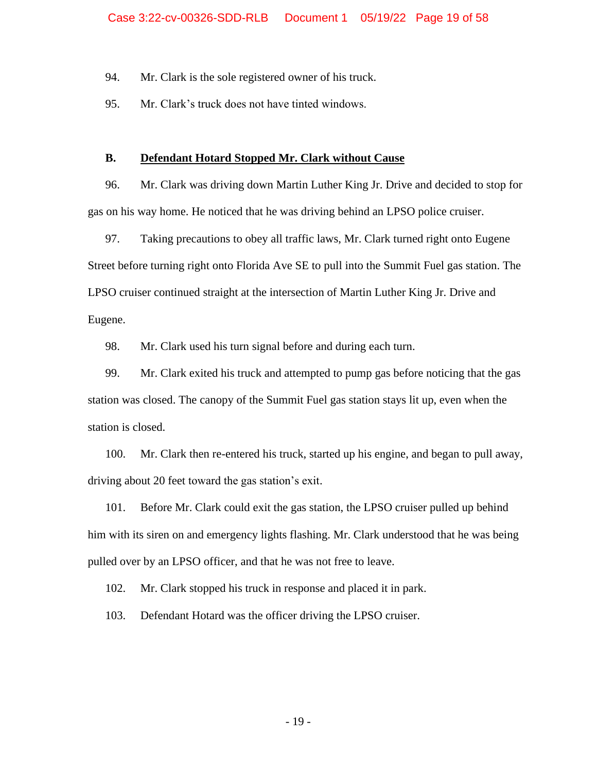94. Mr. Clark is the sole registered owner of his truck.

95. Mr. Clark's truck does not have tinted windows.

### **B. Defendant Hotard Stopped Mr. Clark without Cause**

96. Mr. Clark was driving down Martin Luther King Jr. Drive and decided to stop for gas on his way home. He noticed that he was driving behind an LPSO police cruiser.

97. Taking precautions to obey all traffic laws, Mr. Clark turned right onto Eugene Street before turning right onto Florida Ave SE to pull into the Summit Fuel gas station. The LPSO cruiser continued straight at the intersection of Martin Luther King Jr. Drive and Eugene.

98. Mr. Clark used his turn signal before and during each turn.

99. Mr. Clark exited his truck and attempted to pump gas before noticing that the gas station was closed. The canopy of the Summit Fuel gas station stays lit up, even when the station is closed.

100. Mr. Clark then re-entered his truck, started up his engine, and began to pull away, driving about 20 feet toward the gas station's exit.

101. Before Mr. Clark could exit the gas station, the LPSO cruiser pulled up behind him with its siren on and emergency lights flashing. Mr. Clark understood that he was being pulled over by an LPSO officer, and that he was not free to leave.

102. Mr. Clark stopped his truck in response and placed it in park.

103. Defendant Hotard was the officer driving the LPSO cruiser.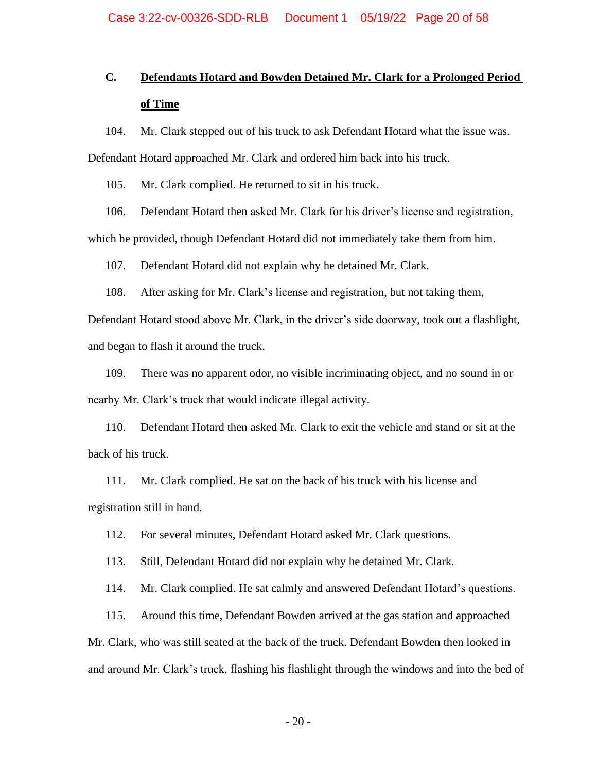# **C. Defendants Hotard and Bowden Detained Mr. Clark for a Prolonged Period of Time**

104. Mr. Clark stepped out of his truck to ask Defendant Hotard what the issue was.

Defendant Hotard approached Mr. Clark and ordered him back into his truck.

105. Mr. Clark complied. He returned to sit in his truck.

106. Defendant Hotard then asked Mr. Clark for his driver's license and registration,

which he provided, though Defendant Hotard did not immediately take them from him.

107. Defendant Hotard did not explain why he detained Mr. Clark.

108. After asking for Mr. Clark's license and registration, but not taking them,

Defendant Hotard stood above Mr. Clark, in the driver's side doorway, took out a flashlight, and began to flash it around the truck.

109. There was no apparent odor, no visible incriminating object, and no sound in or nearby Mr. Clark's truck that would indicate illegal activity.

110. Defendant Hotard then asked Mr. Clark to exit the vehicle and stand or sit at the back of his truck.

111. Mr. Clark complied. He sat on the back of his truck with his license and registration still in hand.

112. For several minutes, Defendant Hotard asked Mr. Clark questions.

113. Still, Defendant Hotard did not explain why he detained Mr. Clark.

114. Mr. Clark complied. He sat calmly and answered Defendant Hotard's questions.

115. Around this time, Defendant Bowden arrived at the gas station and approached Mr. Clark, who was still seated at the back of the truck. Defendant Bowden then looked in

and around Mr. Clark's truck, flashing his flashlight through the windows and into the bed of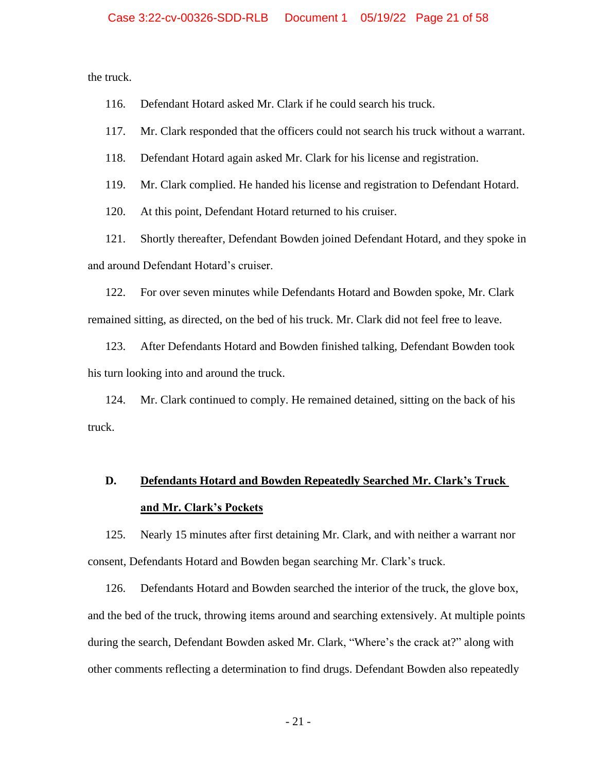the truck.

116. Defendant Hotard asked Mr. Clark if he could search his truck.

117. Mr. Clark responded that the officers could not search his truck without a warrant.

118. Defendant Hotard again asked Mr. Clark for his license and registration.

119. Mr. Clark complied. He handed his license and registration to Defendant Hotard.

120. At this point, Defendant Hotard returned to his cruiser.

121. Shortly thereafter, Defendant Bowden joined Defendant Hotard, and they spoke in and around Defendant Hotard's cruiser.

122. For over seven minutes while Defendants Hotard and Bowden spoke, Mr. Clark remained sitting, as directed, on the bed of his truck. Mr. Clark did not feel free to leave.

123. After Defendants Hotard and Bowden finished talking, Defendant Bowden took his turn looking into and around the truck.

124. Mr. Clark continued to comply. He remained detained, sitting on the back of his truck.

# **D. Defendants Hotard and Bowden Repeatedly Searched Mr. Clark's Truck and Mr. Clark's Pockets**

125. Nearly 15 minutes after first detaining Mr. Clark, and with neither a warrant nor consent, Defendants Hotard and Bowden began searching Mr. Clark's truck.

126. Defendants Hotard and Bowden searched the interior of the truck, the glove box, and the bed of the truck, throwing items around and searching extensively. At multiple points during the search, Defendant Bowden asked Mr. Clark, "Where's the crack at?" along with other comments reflecting a determination to find drugs. Defendant Bowden also repeatedly

- 21 -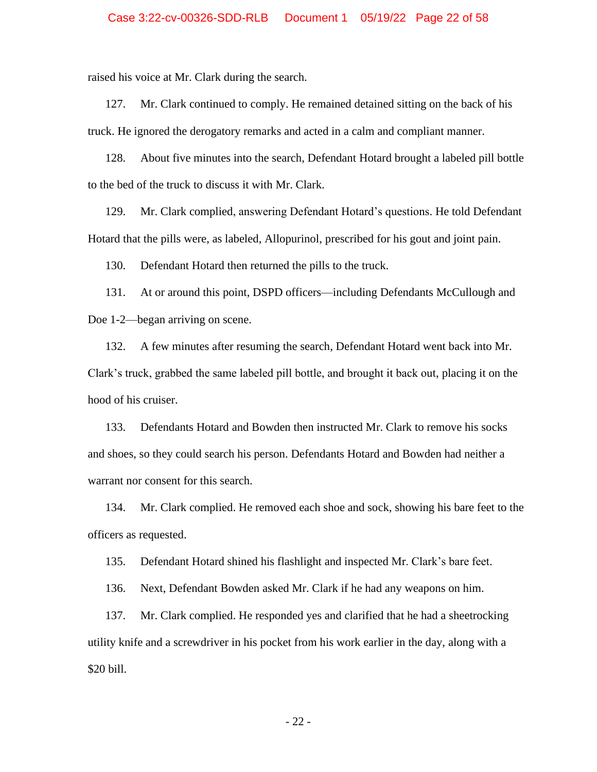raised his voice at Mr. Clark during the search.

127. Mr. Clark continued to comply. He remained detained sitting on the back of his truck. He ignored the derogatory remarks and acted in a calm and compliant manner.

128. About five minutes into the search, Defendant Hotard brought a labeled pill bottle to the bed of the truck to discuss it with Mr. Clark.

129. Mr. Clark complied, answering Defendant Hotard's questions. He told Defendant Hotard that the pills were, as labeled, Allopurinol, prescribed for his gout and joint pain.

130. Defendant Hotard then returned the pills to the truck.

131. At or around this point, DSPD officers—including Defendants McCullough and Doe 1-2—began arriving on scene.

132. A few minutes after resuming the search, Defendant Hotard went back into Mr. Clark's truck, grabbed the same labeled pill bottle, and brought it back out, placing it on the hood of his cruiser.

133. Defendants Hotard and Bowden then instructed Mr. Clark to remove his socks and shoes, so they could search his person. Defendants Hotard and Bowden had neither a warrant nor consent for this search.

134. Mr. Clark complied. He removed each shoe and sock, showing his bare feet to the officers as requested.

135. Defendant Hotard shined his flashlight and inspected Mr. Clark's bare feet.

136. Next, Defendant Bowden asked Mr. Clark if he had any weapons on him.

137. Mr. Clark complied. He responded yes and clarified that he had a sheetrocking utility knife and a screwdriver in his pocket from his work earlier in the day, along with a \$20 bill.

- 22 -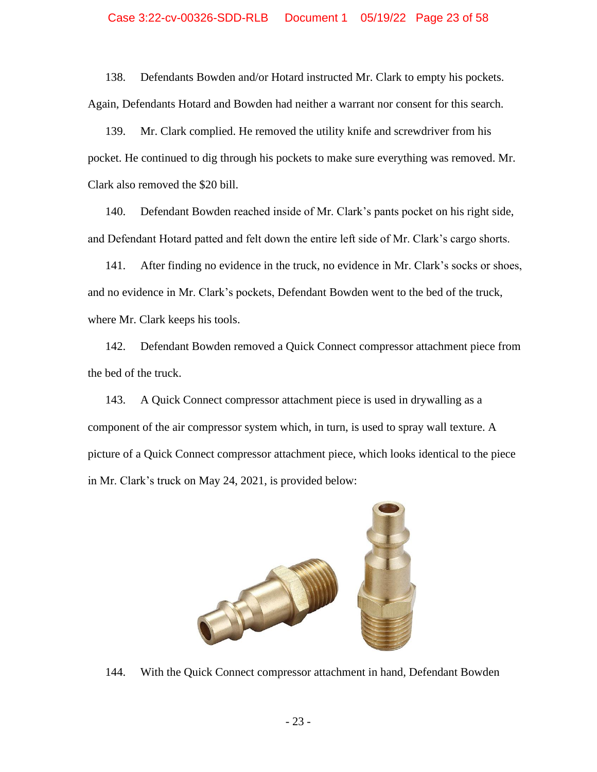### Case 3:22-cv-00326-SDD-RLB Document 1 05/19/22 Page 23 of 58

138. Defendants Bowden and/or Hotard instructed Mr. Clark to empty his pockets. Again, Defendants Hotard and Bowden had neither a warrant nor consent for this search.

139. Mr. Clark complied. He removed the utility knife and screwdriver from his pocket. He continued to dig through his pockets to make sure everything was removed. Mr. Clark also removed the \$20 bill.

140. Defendant Bowden reached inside of Mr. Clark's pants pocket on his right side, and Defendant Hotard patted and felt down the entire left side of Mr. Clark's cargo shorts.

141. After finding no evidence in the truck, no evidence in Mr. Clark's socks or shoes, and no evidence in Mr. Clark's pockets, Defendant Bowden went to the bed of the truck, where Mr. Clark keeps his tools.

142. Defendant Bowden removed a Quick Connect compressor attachment piece from the bed of the truck.

143. A Quick Connect compressor attachment piece is used in drywalling as a component of the air compressor system which, in turn, is used to spray wall texture. A picture of a Quick Connect compressor attachment piece, which looks identical to the piece in Mr. Clark's truck on May 24, 2021, is provided below:



144. With the Quick Connect compressor attachment in hand, Defendant Bowden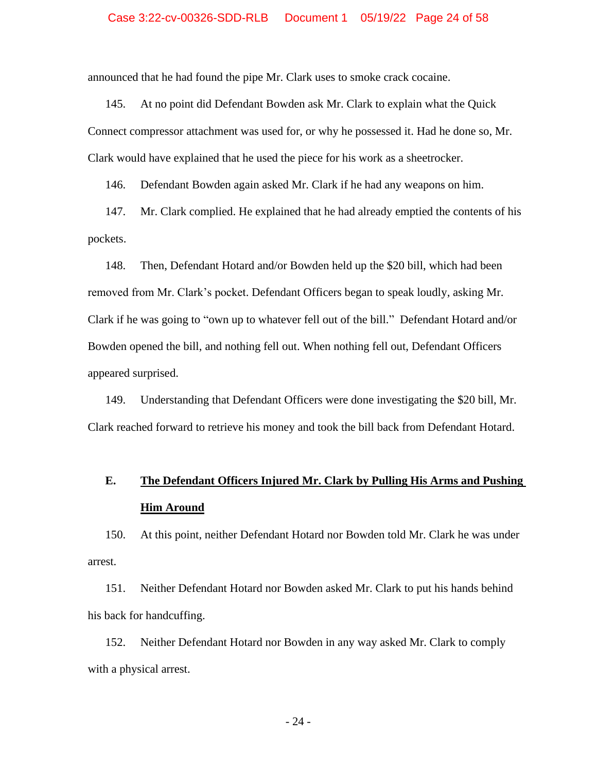#### Case 3:22-cv-00326-SDD-RLB Document 1 05/19/22 Page 24 of 58

announced that he had found the pipe Mr. Clark uses to smoke crack cocaine.

145. At no point did Defendant Bowden ask Mr. Clark to explain what the Quick Connect compressor attachment was used for, or why he possessed it. Had he done so, Mr. Clark would have explained that he used the piece for his work as a sheetrocker.

146. Defendant Bowden again asked Mr. Clark if he had any weapons on him.

147. Mr. Clark complied. He explained that he had already emptied the contents of his pockets.

148. Then, Defendant Hotard and/or Bowden held up the \$20 bill, which had been removed from Mr. Clark's pocket. Defendant Officers began to speak loudly, asking Mr. Clark if he was going to "own up to whatever fell out of the bill." Defendant Hotard and/or Bowden opened the bill, and nothing fell out. When nothing fell out, Defendant Officers appeared surprised.

149. Understanding that Defendant Officers were done investigating the \$20 bill, Mr. Clark reached forward to retrieve his money and took the bill back from Defendant Hotard.

# **E. The Defendant Officers Injured Mr. Clark by Pulling His Arms and Pushing Him Around**

150. At this point, neither Defendant Hotard nor Bowden told Mr. Clark he was under arrest.

151. Neither Defendant Hotard nor Bowden asked Mr. Clark to put his hands behind his back for handcuffing.

152. Neither Defendant Hotard nor Bowden in any way asked Mr. Clark to comply with a physical arrest.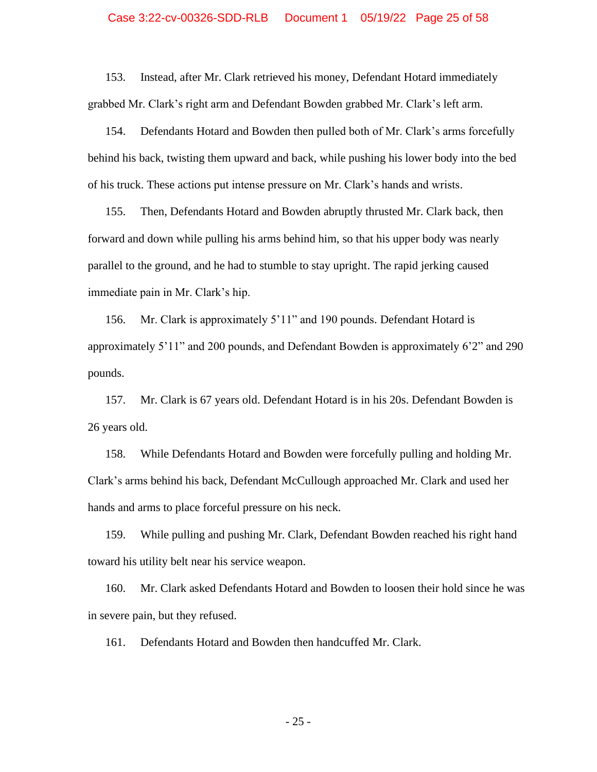#### Case 3:22-cv-00326-SDD-RLB Document 1 05/19/22 Page 25 of 58

153. Instead, after Mr. Clark retrieved his money, Defendant Hotard immediately grabbed Mr. Clark's right arm and Defendant Bowden grabbed Mr. Clark's left arm.

154. Defendants Hotard and Bowden then pulled both of Mr. Clark's arms forcefully behind his back, twisting them upward and back, while pushing his lower body into the bed of his truck. These actions put intense pressure on Mr. Clark's hands and wrists.

155. Then, Defendants Hotard and Bowden abruptly thrusted Mr. Clark back, then forward and down while pulling his arms behind him, so that his upper body was nearly parallel to the ground, and he had to stumble to stay upright. The rapid jerking caused immediate pain in Mr. Clark's hip.

156. Mr. Clark is approximately 5'11" and 190 pounds. Defendant Hotard is approximately 5'11" and 200 pounds, and Defendant Bowden is approximately 6'2" and 290 pounds.

157. Mr. Clark is 67 years old. Defendant Hotard is in his 20s. Defendant Bowden is 26 years old.

158. While Defendants Hotard and Bowden were forcefully pulling and holding Mr. Clark's arms behind his back, Defendant McCullough approached Mr. Clark and used her hands and arms to place forceful pressure on his neck.

159. While pulling and pushing Mr. Clark, Defendant Bowden reached his right hand toward his utility belt near his service weapon.

160. Mr. Clark asked Defendants Hotard and Bowden to loosen their hold since he was in severe pain, but they refused.

161. Defendants Hotard and Bowden then handcuffed Mr. Clark.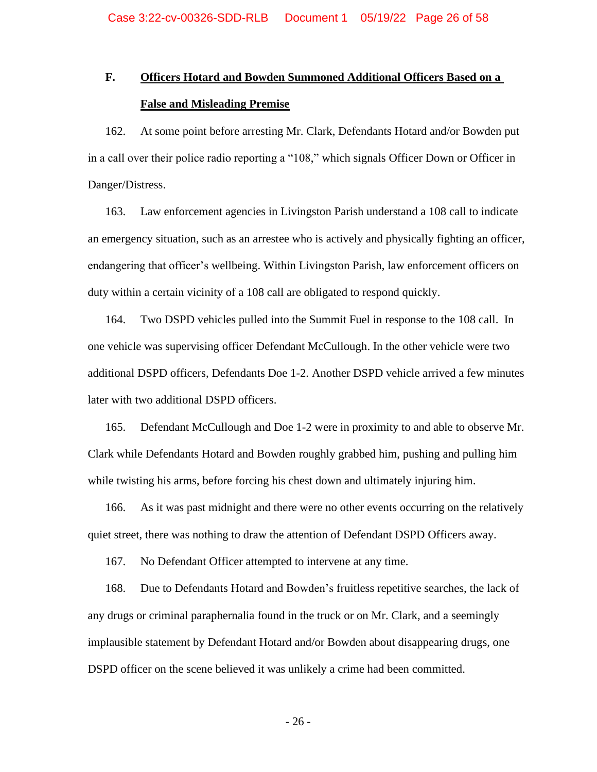# **F. Officers Hotard and Bowden Summoned Additional Officers Based on a False and Misleading Premise**

162. At some point before arresting Mr. Clark, Defendants Hotard and/or Bowden put in a call over their police radio reporting a "108," which signals Officer Down or Officer in Danger/Distress.

163. Law enforcement agencies in Livingston Parish understand a 108 call to indicate an emergency situation, such as an arrestee who is actively and physically fighting an officer, endangering that officer's wellbeing. Within Livingston Parish, law enforcement officers on duty within a certain vicinity of a 108 call are obligated to respond quickly.

164. Two DSPD vehicles pulled into the Summit Fuel in response to the 108 call. In one vehicle was supervising officer Defendant McCullough. In the other vehicle were two additional DSPD officers, Defendants Doe 1-2. Another DSPD vehicle arrived a few minutes later with two additional DSPD officers.

165. Defendant McCullough and Doe 1-2 were in proximity to and able to observe Mr. Clark while Defendants Hotard and Bowden roughly grabbed him, pushing and pulling him while twisting his arms, before forcing his chest down and ultimately injuring him.

166. As it was past midnight and there were no other events occurring on the relatively quiet street, there was nothing to draw the attention of Defendant DSPD Officers away.

167. No Defendant Officer attempted to intervene at any time.

168. Due to Defendants Hotard and Bowden's fruitless repetitive searches, the lack of any drugs or criminal paraphernalia found in the truck or on Mr. Clark, and a seemingly implausible statement by Defendant Hotard and/or Bowden about disappearing drugs, one DSPD officer on the scene believed it was unlikely a crime had been committed.

- 26 -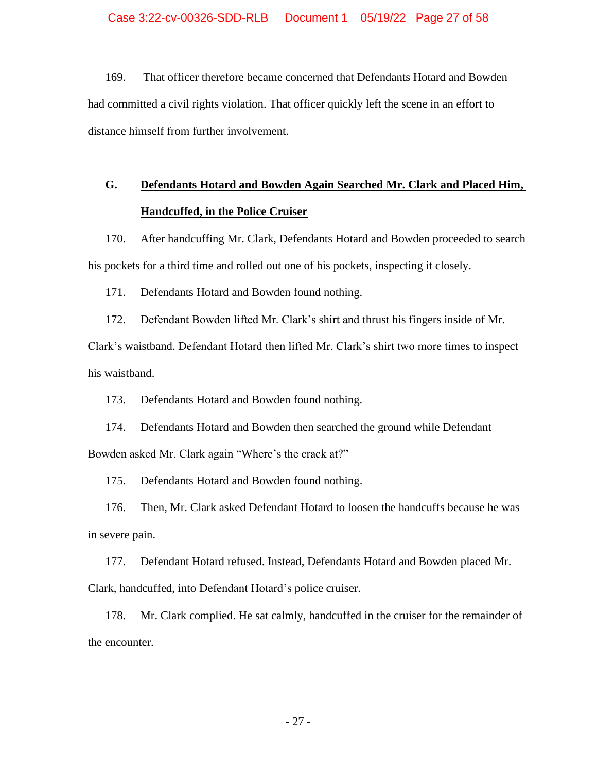169. That officer therefore became concerned that Defendants Hotard and Bowden had committed a civil rights violation. That officer quickly left the scene in an effort to distance himself from further involvement.

# **G. Defendants Hotard and Bowden Again Searched Mr. Clark and Placed Him, Handcuffed, in the Police Cruiser**

170. After handcuffing Mr. Clark, Defendants Hotard and Bowden proceeded to search his pockets for a third time and rolled out one of his pockets, inspecting it closely.

171. Defendants Hotard and Bowden found nothing.

172. Defendant Bowden lifted Mr. Clark's shirt and thrust his fingers inside of Mr.

Clark's waistband. Defendant Hotard then lifted Mr. Clark's shirt two more times to inspect his waistband.

173. Defendants Hotard and Bowden found nothing.

174. Defendants Hotard and Bowden then searched the ground while Defendant Bowden asked Mr. Clark again "Where's the crack at?"

175. Defendants Hotard and Bowden found nothing.

176. Then, Mr. Clark asked Defendant Hotard to loosen the handcuffs because he was in severe pain.

177. Defendant Hotard refused. Instead, Defendants Hotard and Bowden placed Mr. Clark, handcuffed, into Defendant Hotard's police cruiser.

178. Mr. Clark complied. He sat calmly, handcuffed in the cruiser for the remainder of the encounter.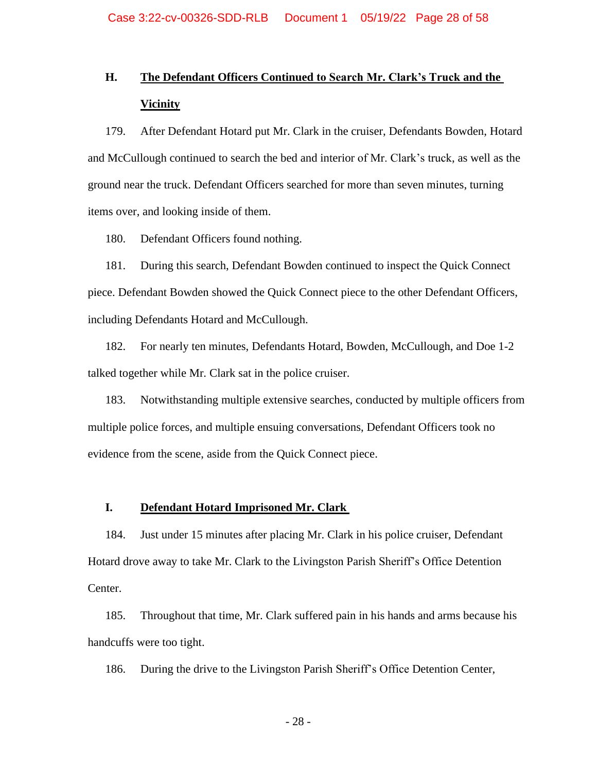# **H. The Defendant Officers Continued to Search Mr. Clark's Truck and the Vicinity**

179. After Defendant Hotard put Mr. Clark in the cruiser, Defendants Bowden, Hotard and McCullough continued to search the bed and interior of Mr. Clark's truck, as well as the ground near the truck. Defendant Officers searched for more than seven minutes, turning items over, and looking inside of them.

180. Defendant Officers found nothing.

181. During this search, Defendant Bowden continued to inspect the Quick Connect piece. Defendant Bowden showed the Quick Connect piece to the other Defendant Officers, including Defendants Hotard and McCullough.

182. For nearly ten minutes, Defendants Hotard, Bowden, McCullough, and Doe 1-2 talked together while Mr. Clark sat in the police cruiser.

183. Notwithstanding multiple extensive searches, conducted by multiple officers from multiple police forces, and multiple ensuing conversations, Defendant Officers took no evidence from the scene, aside from the Quick Connect piece.

### **I. Defendant Hotard Imprisoned Mr. Clark**

184. Just under 15 minutes after placing Mr. Clark in his police cruiser, Defendant Hotard drove away to take Mr. Clark to the Livingston Parish Sheriff's Office Detention Center.

185. Throughout that time, Mr. Clark suffered pain in his hands and arms because his handcuffs were too tight.

186. During the drive to the Livingston Parish Sheriff's Office Detention Center,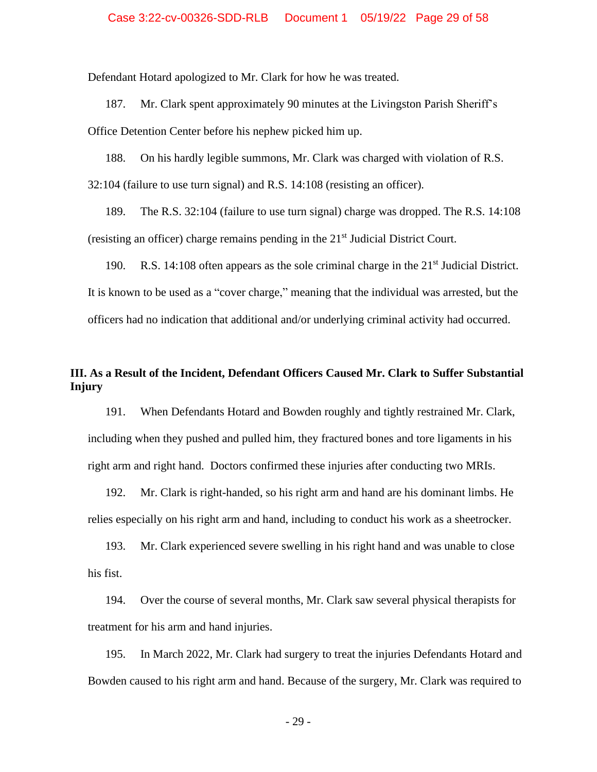Defendant Hotard apologized to Mr. Clark for how he was treated.

187. Mr. Clark spent approximately 90 minutes at the Livingston Parish Sheriff's Office Detention Center before his nephew picked him up.

188. On his hardly legible summons, Mr. Clark was charged with violation of R.S. 32:104 (failure to use turn signal) and R.S. 14:108 (resisting an officer).

189. The R.S. 32:104 (failure to use turn signal) charge was dropped. The R.S. 14:108 (resisting an officer) charge remains pending in the  $21<sup>st</sup>$  Judicial District Court.

190. R.S. 14:108 often appears as the sole criminal charge in the  $21<sup>st</sup>$  Judicial District. It is known to be used as a "cover charge," meaning that the individual was arrested, but the officers had no indication that additional and/or underlying criminal activity had occurred.

## **III. As a Result of the Incident, Defendant Officers Caused Mr. Clark to Suffer Substantial Injury**

191. When Defendants Hotard and Bowden roughly and tightly restrained Mr. Clark, including when they pushed and pulled him, they fractured bones and tore ligaments in his right arm and right hand. Doctors confirmed these injuries after conducting two MRIs.

192. Mr. Clark is right-handed, so his right arm and hand are his dominant limbs. He relies especially on his right arm and hand, including to conduct his work as a sheetrocker.

193. Mr. Clark experienced severe swelling in his right hand and was unable to close his fist.

194. Over the course of several months, Mr. Clark saw several physical therapists for treatment for his arm and hand injuries.

195. In March 2022, Mr. Clark had surgery to treat the injuries Defendants Hotard and Bowden caused to his right arm and hand. Because of the surgery, Mr. Clark was required to

- 29 -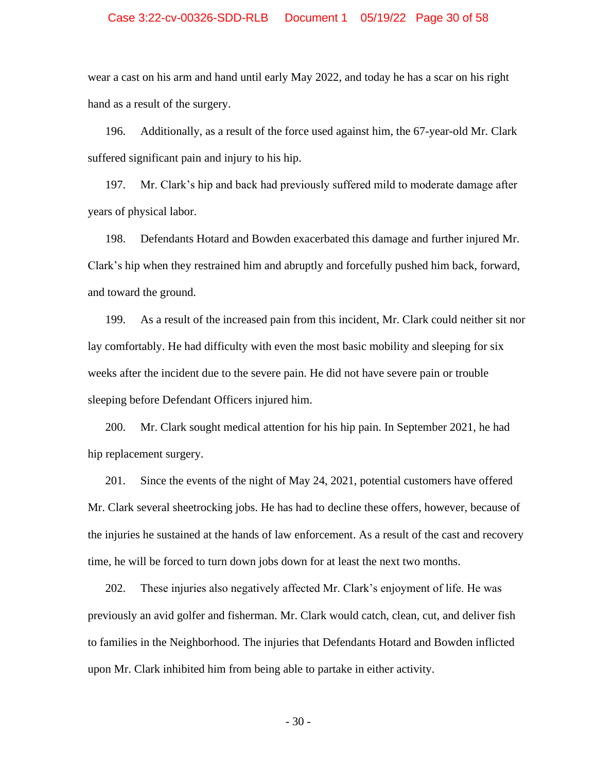### Case 3:22-cv-00326-SDD-RLB Document 1 05/19/22 Page 30 of 58

wear a cast on his arm and hand until early May 2022, and today he has a scar on his right hand as a result of the surgery.

196. Additionally, as a result of the force used against him, the 67-year-old Mr. Clark suffered significant pain and injury to his hip.

197. Mr. Clark's hip and back had previously suffered mild to moderate damage after years of physical labor.

198. Defendants Hotard and Bowden exacerbated this damage and further injured Mr. Clark's hip when they restrained him and abruptly and forcefully pushed him back, forward, and toward the ground.

199. As a result of the increased pain from this incident, Mr. Clark could neither sit nor lay comfortably. He had difficulty with even the most basic mobility and sleeping for six weeks after the incident due to the severe pain. He did not have severe pain or trouble sleeping before Defendant Officers injured him.

200. Mr. Clark sought medical attention for his hip pain. In September 2021, he had hip replacement surgery.

201. Since the events of the night of May 24, 2021, potential customers have offered Mr. Clark several sheetrocking jobs. He has had to decline these offers, however, because of the injuries he sustained at the hands of law enforcement. As a result of the cast and recovery time, he will be forced to turn down jobs down for at least the next two months.

202. These injuries also negatively affected Mr. Clark's enjoyment of life. He was previously an avid golfer and fisherman. Mr. Clark would catch, clean, cut, and deliver fish to families in the Neighborhood. The injuries that Defendants Hotard and Bowden inflicted upon Mr. Clark inhibited him from being able to partake in either activity.

- 30 -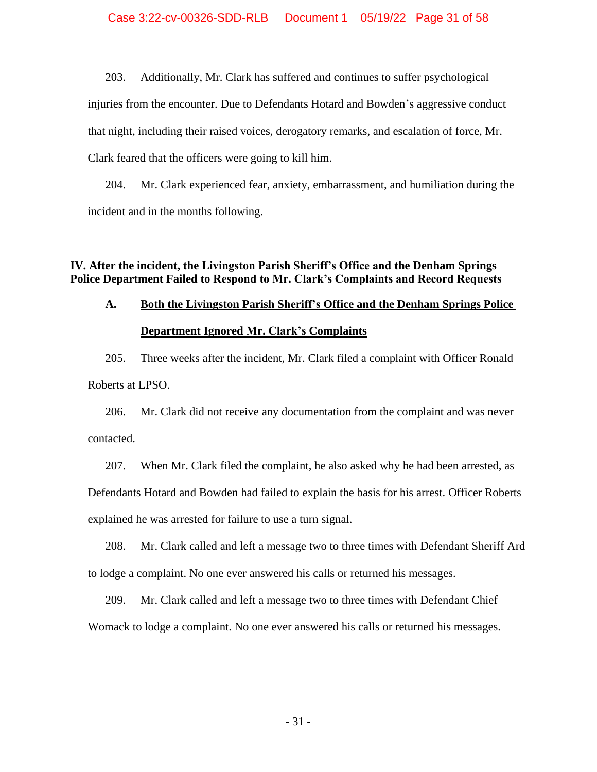203. Additionally, Mr. Clark has suffered and continues to suffer psychological injuries from the encounter. Due to Defendants Hotard and Bowden's aggressive conduct that night, including their raised voices, derogatory remarks, and escalation of force, Mr. Clark feared that the officers were going to kill him.

204. Mr. Clark experienced fear, anxiety, embarrassment, and humiliation during the incident and in the months following.

### **IV. After the incident, the Livingston Parish Sheriff's Office and the Denham Springs Police Department Failed to Respond to Mr. Clark's Complaints and Record Requests**

# **A. Both the Livingston Parish Sheriff's Office and the Denham Springs Police Department Ignored Mr. Clark's Complaints**

205. Three weeks after the incident, Mr. Clark filed a complaint with Officer Ronald Roberts at LPSO.

206. Mr. Clark did not receive any documentation from the complaint and was never contacted.

207. When Mr. Clark filed the complaint, he also asked why he had been arrested, as Defendants Hotard and Bowden had failed to explain the basis for his arrest. Officer Roberts explained he was arrested for failure to use a turn signal.

208. Mr. Clark called and left a message two to three times with Defendant Sheriff Ard to lodge a complaint. No one ever answered his calls or returned his messages.

209. Mr. Clark called and left a message two to three times with Defendant Chief Womack to lodge a complaint. No one ever answered his calls or returned his messages.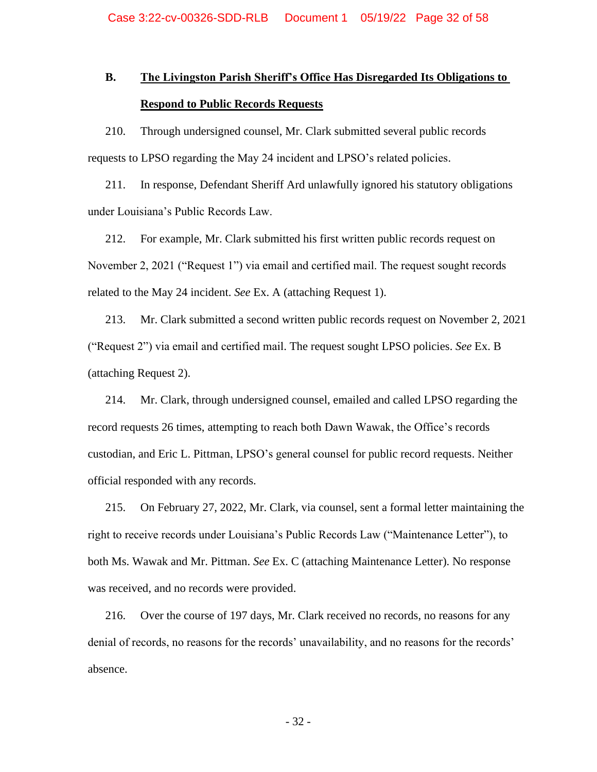# **B. The Livingston Parish Sheriff's Office Has Disregarded Its Obligations to Respond to Public Records Requests**

210. Through undersigned counsel, Mr. Clark submitted several public records requests to LPSO regarding the May 24 incident and LPSO's related policies.

211. In response, Defendant Sheriff Ard unlawfully ignored his statutory obligations under Louisiana's Public Records Law.

212. For example, Mr. Clark submitted his first written public records request on November 2, 2021 ("Request 1") via email and certified mail. The request sought records related to the May 24 incident. *See* Ex. A (attaching Request 1).

213. Mr. Clark submitted a second written public records request on November 2, 2021 ("Request 2") via email and certified mail. The request sought LPSO policies. *See* Ex. B (attaching Request 2).

214. Mr. Clark, through undersigned counsel, emailed and called LPSO regarding the record requests 26 times, attempting to reach both Dawn Wawak, the Office's records custodian, and Eric L. Pittman, LPSO's general counsel for public record requests. Neither official responded with any records.

215. On February 27, 2022, Mr. Clark, via counsel, sent a formal letter maintaining the right to receive records under Louisiana's Public Records Law ("Maintenance Letter"), to both Ms. Wawak and Mr. Pittman. *See* Ex. C (attaching Maintenance Letter). No response was received, and no records were provided.

216. Over the course of 197 days, Mr. Clark received no records, no reasons for any denial of records, no reasons for the records' unavailability, and no reasons for the records' absence.

- 32 -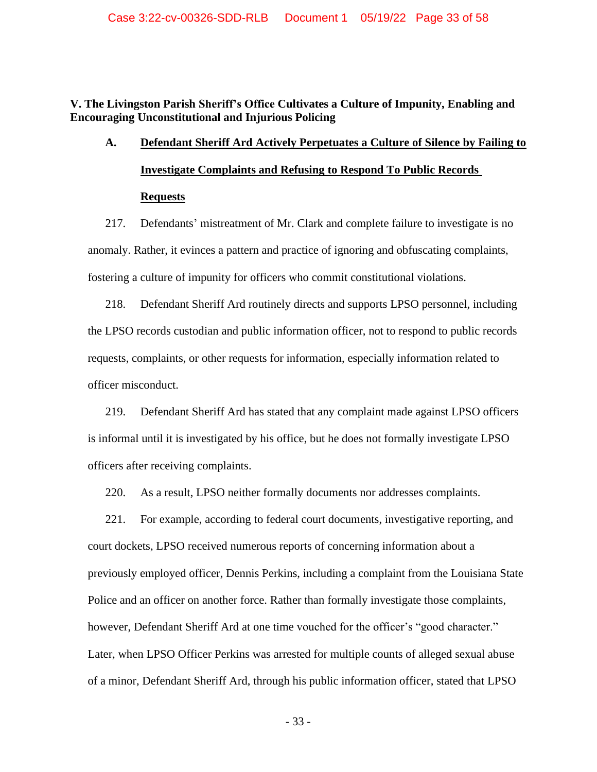**V. The Livingston Parish Sheriff's Office Cultivates a Culture of Impunity, Enabling and Encouraging Unconstitutional and Injurious Policing**

# **A. Defendant Sheriff Ard Actively Perpetuates a Culture of Silence by Failing to Investigate Complaints and Refusing to Respond To Public Records Requests**

217. Defendants' mistreatment of Mr. Clark and complete failure to investigate is no anomaly. Rather, it evinces a pattern and practice of ignoring and obfuscating complaints, fostering a culture of impunity for officers who commit constitutional violations.

218. Defendant Sheriff Ard routinely directs and supports LPSO personnel, including the LPSO records custodian and public information officer, not to respond to public records requests, complaints, or other requests for information, especially information related to officer misconduct.

219. Defendant Sheriff Ard has stated that any complaint made against LPSO officers is informal until it is investigated by his office, but he does not formally investigate LPSO officers after receiving complaints.

220. As a result, LPSO neither formally documents nor addresses complaints.

221. For example, according to federal court documents, investigative reporting, and court dockets, LPSO received numerous reports of concerning information about a previously employed officer, Dennis Perkins, including a complaint from the Louisiana State Police and an officer on another force. Rather than formally investigate those complaints, however, Defendant Sheriff Ard at one time vouched for the officer's "good character." Later, when LPSO Officer Perkins was arrested for multiple counts of alleged sexual abuse of a minor, Defendant Sheriff Ard, through his public information officer, stated that LPSO

- 33 -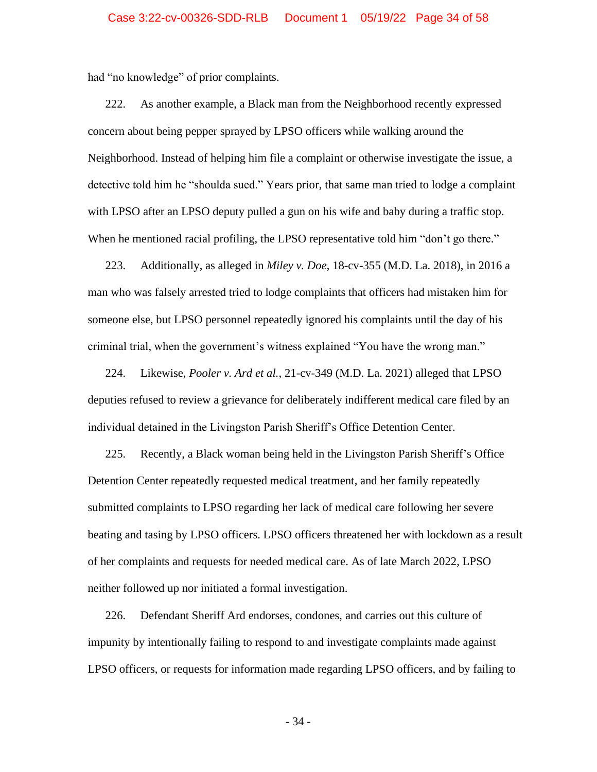had "no knowledge" of prior complaints.

222. As another example, a Black man from the Neighborhood recently expressed concern about being pepper sprayed by LPSO officers while walking around the Neighborhood. Instead of helping him file a complaint or otherwise investigate the issue, a detective told him he "shoulda sued." Years prior, that same man tried to lodge a complaint with LPSO after an LPSO deputy pulled a gun on his wife and baby during a traffic stop. When he mentioned racial profiling, the LPSO representative told him "don't go there."

223. Additionally, as alleged in *Miley v. Doe*, 18-cv-355 (M.D. La. 2018), in 2016 a man who was falsely arrested tried to lodge complaints that officers had mistaken him for someone else, but LPSO personnel repeatedly ignored his complaints until the day of his criminal trial, when the government's witness explained "You have the wrong man."

224. Likewise, *Pooler v. Ard et al.*, 21-cv-349 (M.D. La. 2021) alleged that LPSO deputies refused to review a grievance for deliberately indifferent medical care filed by an individual detained in the Livingston Parish Sheriff's Office Detention Center.

225. Recently, a Black woman being held in the Livingston Parish Sheriff's Office Detention Center repeatedly requested medical treatment, and her family repeatedly submitted complaints to LPSO regarding her lack of medical care following her severe beating and tasing by LPSO officers. LPSO officers threatened her with lockdown as a result of her complaints and requests for needed medical care. As of late March 2022, LPSO neither followed up nor initiated a formal investigation.

226. Defendant Sheriff Ard endorses, condones, and carries out this culture of impunity by intentionally failing to respond to and investigate complaints made against LPSO officers, or requests for information made regarding LPSO officers, and by failing to

- 34 -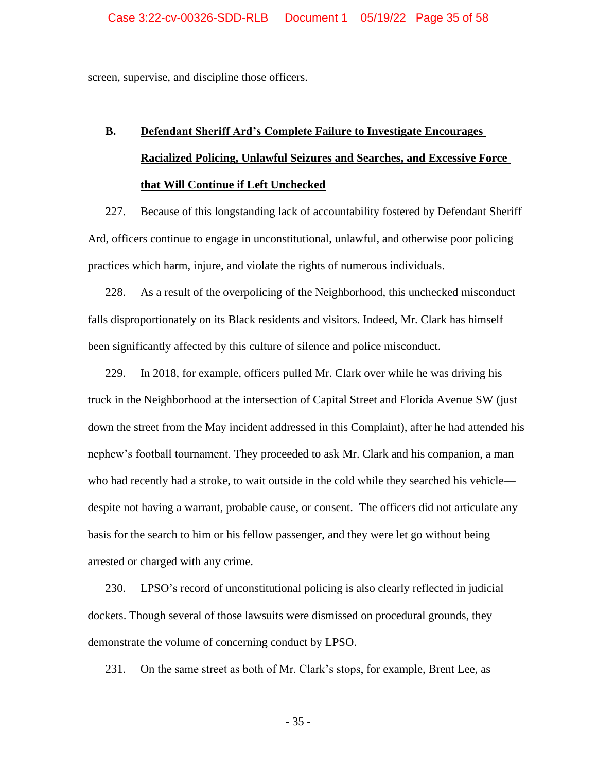screen, supervise, and discipline those officers.

# **B. Defendant Sheriff Ard's Complete Failure to Investigate Encourages Racialized Policing, Unlawful Seizures and Searches, and Excessive Force that Will Continue if Left Unchecked**

227. Because of this longstanding lack of accountability fostered by Defendant Sheriff Ard, officers continue to engage in unconstitutional, unlawful, and otherwise poor policing practices which harm, injure, and violate the rights of numerous individuals.

228. As a result of the overpolicing of the Neighborhood, this unchecked misconduct falls disproportionately on its Black residents and visitors. Indeed, Mr. Clark has himself been significantly affected by this culture of silence and police misconduct.

229. In 2018, for example, officers pulled Mr. Clark over while he was driving his truck in the Neighborhood at the intersection of Capital Street and Florida Avenue SW (just down the street from the May incident addressed in this Complaint), after he had attended his nephew's football tournament. They proceeded to ask Mr. Clark and his companion, a man who had recently had a stroke, to wait outside in the cold while they searched his vehicle despite not having a warrant, probable cause, or consent. The officers did not articulate any basis for the search to him or his fellow passenger, and they were let go without being arrested or charged with any crime.

230. LPSO's record of unconstitutional policing is also clearly reflected in judicial dockets. Though several of those lawsuits were dismissed on procedural grounds, they demonstrate the volume of concerning conduct by LPSO.

231. On the same street as both of Mr. Clark's stops, for example, Brent Lee, as

- 35 -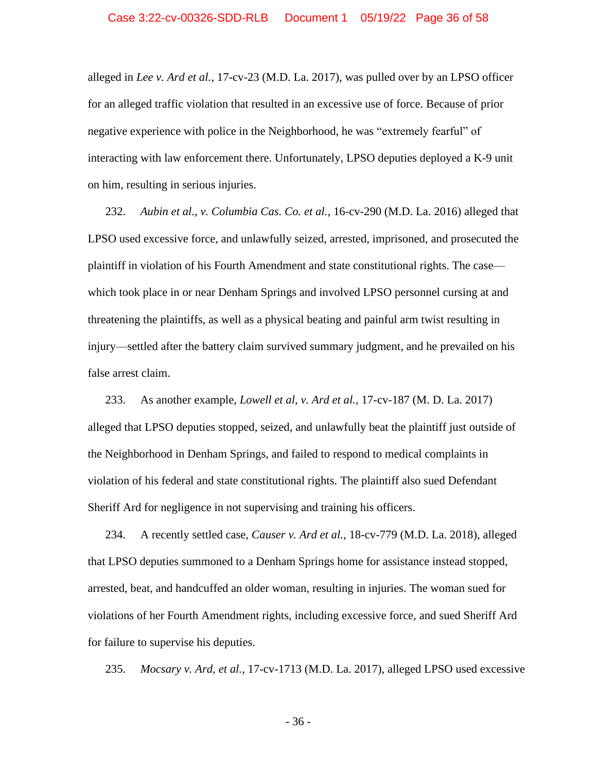alleged in *Lee v. Ard et al.*, 17-cv-23 (M.D. La. 2017), was pulled over by an LPSO officer for an alleged traffic violation that resulted in an excessive use of force. Because of prior negative experience with police in the Neighborhood, he was "extremely fearful" of interacting with law enforcement there. Unfortunately, LPSO deputies deployed a K-9 unit on him, resulting in serious injuries.

232. *Aubin et al., v. Columbia Cas. Co. et al.*, 16-cv-290 (M.D. La. 2016) alleged that LPSO used excessive force, and unlawfully seized, arrested, imprisoned, and prosecuted the plaintiff in violation of his Fourth Amendment and state constitutional rights. The case which took place in or near Denham Springs and involved LPSO personnel cursing at and threatening the plaintiffs, as well as a physical beating and painful arm twist resulting in injury—settled after the battery claim survived summary judgment, and he prevailed on his false arrest claim.

233. As another example, *Lowell et al, v. Ard et al.,* 17-cv-187 (M. D. La. 2017) alleged that LPSO deputies stopped, seized, and unlawfully beat the plaintiff just outside of the Neighborhood in Denham Springs, and failed to respond to medical complaints in violation of his federal and state constitutional rights. The plaintiff also sued Defendant Sheriff Ard for negligence in not supervising and training his officers.

234. A recently settled case, *Causer v. Ard et al.*, 18-cv-779 (M.D. La. 2018), alleged that LPSO deputies summoned to a Denham Springs home for assistance instead stopped, arrested, beat, and handcuffed an older woman, resulting in injuries. The woman sued for violations of her Fourth Amendment rights, including excessive force, and sued Sheriff Ard for failure to supervise his deputies.

235. *Mocsary v. Ard, et al.*, 17-cv-1713 (M.D. La. 2017), alleged LPSO used excessive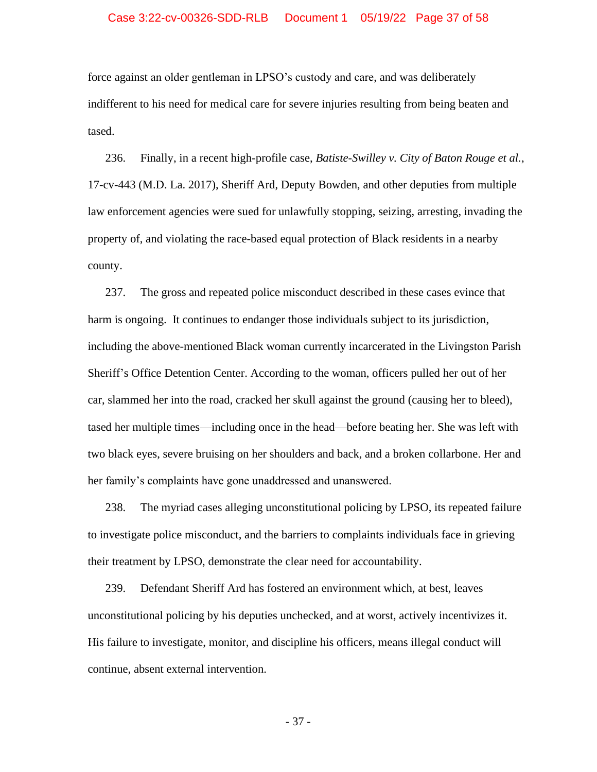### Case 3:22-cv-00326-SDD-RLB Document 1 05/19/22 Page 37 of 58

force against an older gentleman in LPSO's custody and care, and was deliberately indifferent to his need for medical care for severe injuries resulting from being beaten and tased.

236. Finally, in a recent high-profile case, *Batiste-Swilley v. City of Baton Rouge et al.*, 17-cv-443 (M.D. La. 2017), Sheriff Ard, Deputy Bowden, and other deputies from multiple law enforcement agencies were sued for unlawfully stopping, seizing, arresting, invading the property of, and violating the race-based equal protection of Black residents in a nearby county.

237. The gross and repeated police misconduct described in these cases evince that harm is ongoing. It continues to endanger those individuals subject to its jurisdiction, including the above-mentioned Black woman currently incarcerated in the Livingston Parish Sheriff's Office Detention Center. According to the woman, officers pulled her out of her car, slammed her into the road, cracked her skull against the ground (causing her to bleed), tased her multiple times—including once in the head—before beating her. She was left with two black eyes, severe bruising on her shoulders and back, and a broken collarbone. Her and her family's complaints have gone unaddressed and unanswered.

238. The myriad cases alleging unconstitutional policing by LPSO, its repeated failure to investigate police misconduct, and the barriers to complaints individuals face in grieving their treatment by LPSO, demonstrate the clear need for accountability.

239. Defendant Sheriff Ard has fostered an environment which, at best, leaves unconstitutional policing by his deputies unchecked, and at worst, actively incentivizes it. His failure to investigate, monitor, and discipline his officers, means illegal conduct will continue, absent external intervention.

- 37 -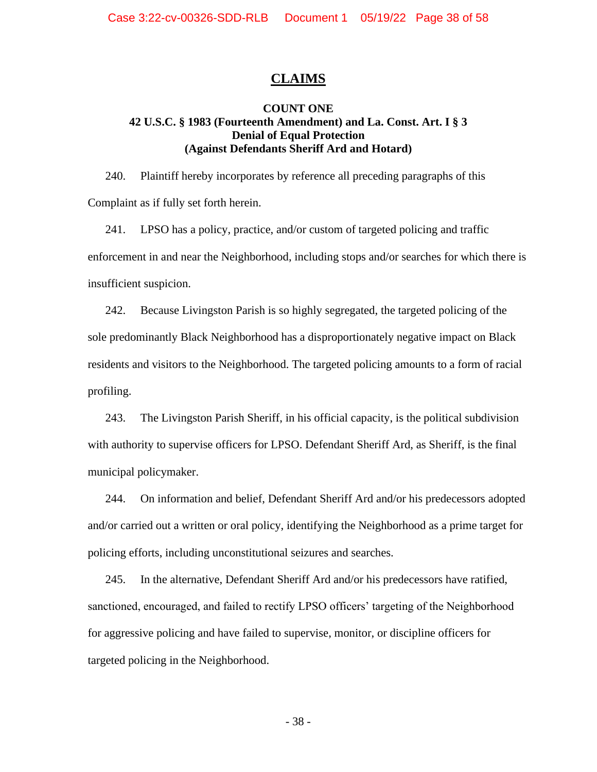# **CLAIMS**

### **COUNT ONE 42 U.S.C. § 1983 (Fourteenth Amendment) and La. Const. Art. I § 3 Denial of Equal Protection (Against Defendants Sheriff Ard and Hotard)**

240. Plaintiff hereby incorporates by reference all preceding paragraphs of this Complaint as if fully set forth herein.

241. LPSO has a policy, practice, and/or custom of targeted policing and traffic enforcement in and near the Neighborhood, including stops and/or searches for which there is insufficient suspicion.

242. Because Livingston Parish is so highly segregated, the targeted policing of the sole predominantly Black Neighborhood has a disproportionately negative impact on Black residents and visitors to the Neighborhood. The targeted policing amounts to a form of racial profiling.

243. The Livingston Parish Sheriff, in his official capacity, is the political subdivision with authority to supervise officers for LPSO. Defendant Sheriff Ard, as Sheriff, is the final municipal policymaker.

244. On information and belief, Defendant Sheriff Ard and/or his predecessors adopted and/or carried out a written or oral policy, identifying the Neighborhood as a prime target for policing efforts, including unconstitutional seizures and searches.

245. In the alternative, Defendant Sheriff Ard and/or his predecessors have ratified, sanctioned, encouraged, and failed to rectify LPSO officers' targeting of the Neighborhood for aggressive policing and have failed to supervise, monitor, or discipline officers for targeted policing in the Neighborhood.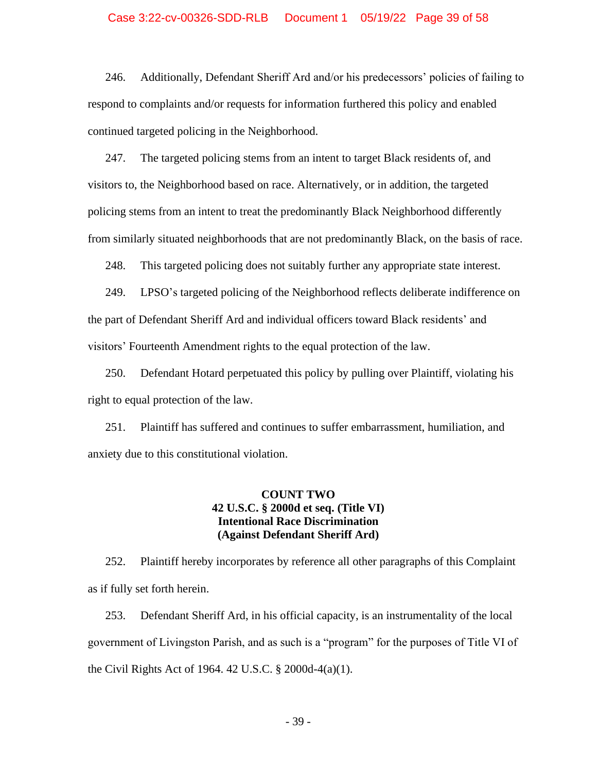### Case 3:22-cv-00326-SDD-RLB Document 1 05/19/22 Page 39 of 58

246. Additionally, Defendant Sheriff Ard and/or his predecessors' policies of failing to respond to complaints and/or requests for information furthered this policy and enabled continued targeted policing in the Neighborhood.

247. The targeted policing stems from an intent to target Black residents of, and visitors to, the Neighborhood based on race. Alternatively, or in addition, the targeted policing stems from an intent to treat the predominantly Black Neighborhood differently from similarly situated neighborhoods that are not predominantly Black, on the basis of race.

248. This targeted policing does not suitably further any appropriate state interest.

249. LPSO's targeted policing of the Neighborhood reflects deliberate indifference on the part of Defendant Sheriff Ard and individual officers toward Black residents' and visitors' Fourteenth Amendment rights to the equal protection of the law.

250. Defendant Hotard perpetuated this policy by pulling over Plaintiff, violating his right to equal protection of the law.

251. Plaintiff has suffered and continues to suffer embarrassment, humiliation, and anxiety due to this constitutional violation.

### **COUNT TWO 42 U.S.C. § 2000d et seq. (Title VI) Intentional Race Discrimination (Against Defendant Sheriff Ard)**

252. Plaintiff hereby incorporates by reference all other paragraphs of this Complaint as if fully set forth herein.

253. Defendant Sheriff Ard, in his official capacity, is an instrumentality of the local government of Livingston Parish, and as such is a "program" for the purposes of Title VI of the Civil Rights Act of 1964. 42 U.S.C. § 2000d-4(a)(1).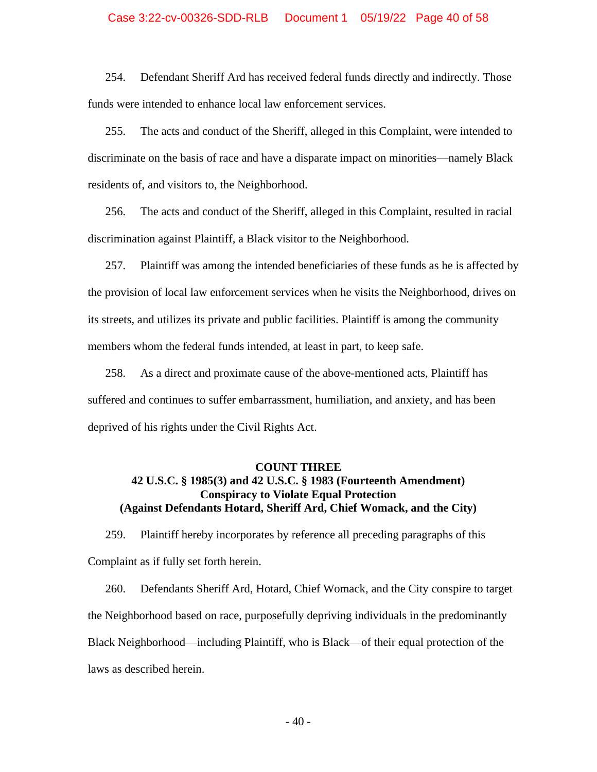### Case 3:22-cv-00326-SDD-RLB Document 1 05/19/22 Page 40 of 58

254. Defendant Sheriff Ard has received federal funds directly and indirectly. Those funds were intended to enhance local law enforcement services.

255. The acts and conduct of the Sheriff, alleged in this Complaint, were intended to discriminate on the basis of race and have a disparate impact on minorities—namely Black residents of, and visitors to, the Neighborhood.

256. The acts and conduct of the Sheriff, alleged in this Complaint, resulted in racial discrimination against Plaintiff, a Black visitor to the Neighborhood.

257. Plaintiff was among the intended beneficiaries of these funds as he is affected by the provision of local law enforcement services when he visits the Neighborhood, drives on its streets, and utilizes its private and public facilities. Plaintiff is among the community members whom the federal funds intended, at least in part, to keep safe.

258. As a direct and proximate cause of the above-mentioned acts, Plaintiff has suffered and continues to suffer embarrassment, humiliation, and anxiety, and has been deprived of his rights under the Civil Rights Act.

### **COUNT THREE 42 U.S.C. § 1985(3) and 42 U.S.C. § 1983 (Fourteenth Amendment) Conspiracy to Violate Equal Protection (Against Defendants Hotard, Sheriff Ard, Chief Womack, and the City)**

259. Plaintiff hereby incorporates by reference all preceding paragraphs of this Complaint as if fully set forth herein.

260. Defendants Sheriff Ard, Hotard, Chief Womack, and the City conspire to target the Neighborhood based on race, purposefully depriving individuals in the predominantly Black Neighborhood—including Plaintiff, who is Black—of their equal protection of the laws as described herein.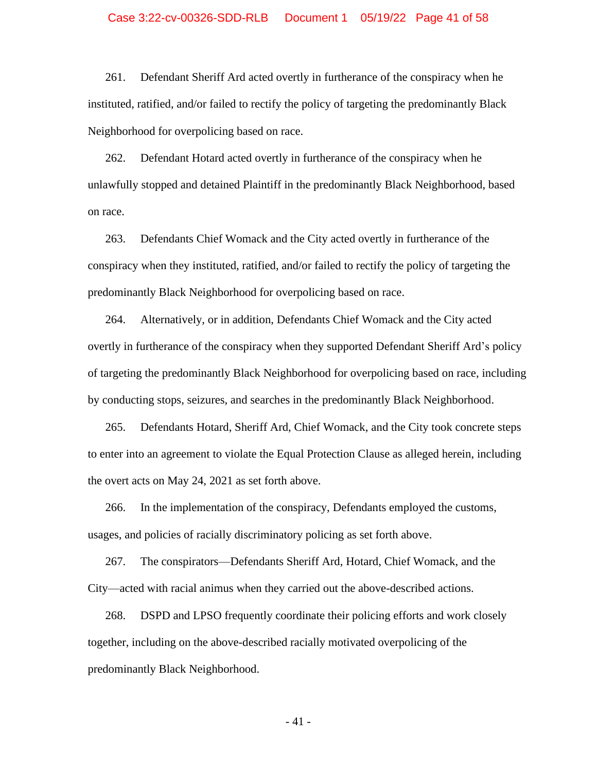### Case 3:22-cv-00326-SDD-RLB Document 1 05/19/22 Page 41 of 58

261. Defendant Sheriff Ard acted overtly in furtherance of the conspiracy when he instituted, ratified, and/or failed to rectify the policy of targeting the predominantly Black Neighborhood for overpolicing based on race.

262. Defendant Hotard acted overtly in furtherance of the conspiracy when he unlawfully stopped and detained Plaintiff in the predominantly Black Neighborhood, based on race.

263. Defendants Chief Womack and the City acted overtly in furtherance of the conspiracy when they instituted, ratified, and/or failed to rectify the policy of targeting the predominantly Black Neighborhood for overpolicing based on race.

264. Alternatively, or in addition, Defendants Chief Womack and the City acted overtly in furtherance of the conspiracy when they supported Defendant Sheriff Ard's policy of targeting the predominantly Black Neighborhood for overpolicing based on race, including by conducting stops, seizures, and searches in the predominantly Black Neighborhood.

265. Defendants Hotard, Sheriff Ard, Chief Womack, and the City took concrete steps to enter into an agreement to violate the Equal Protection Clause as alleged herein, including the overt acts on May 24, 2021 as set forth above.

266. In the implementation of the conspiracy, Defendants employed the customs, usages, and policies of racially discriminatory policing as set forth above.

267. The conspirators—Defendants Sheriff Ard, Hotard, Chief Womack, and the City—acted with racial animus when they carried out the above-described actions.

268. DSPD and LPSO frequently coordinate their policing efforts and work closely together, including on the above-described racially motivated overpolicing of the predominantly Black Neighborhood.

- 41 -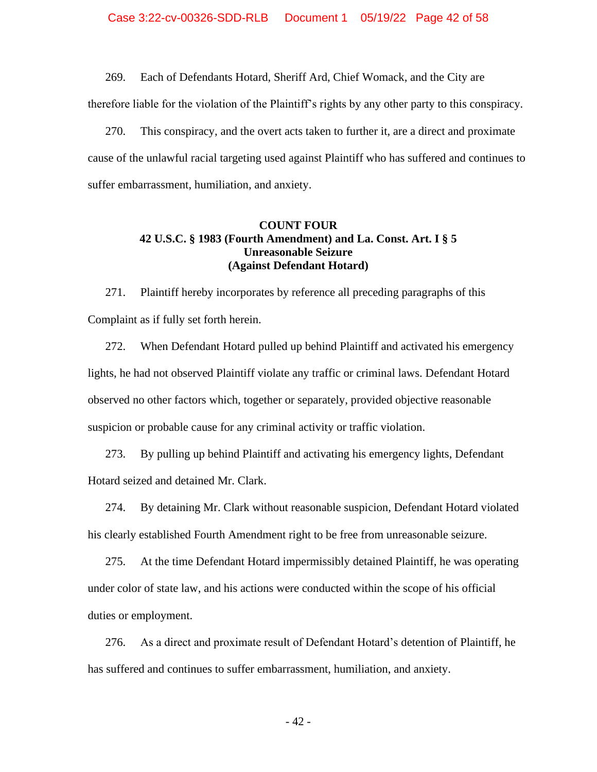269. Each of Defendants Hotard, Sheriff Ard, Chief Womack, and the City are therefore liable for the violation of the Plaintiff's rights by any other party to this conspiracy.

270. This conspiracy, and the overt acts taken to further it, are a direct and proximate cause of the unlawful racial targeting used against Plaintiff who has suffered and continues to suffer embarrassment, humiliation, and anxiety.

### **COUNT FOUR 42 U.S.C. § 1983 (Fourth Amendment) and La. Const. Art. I § 5 Unreasonable Seizure (Against Defendant Hotard)**

271. Plaintiff hereby incorporates by reference all preceding paragraphs of this Complaint as if fully set forth herein.

272. When Defendant Hotard pulled up behind Plaintiff and activated his emergency lights, he had not observed Plaintiff violate any traffic or criminal laws. Defendant Hotard observed no other factors which, together or separately, provided objective reasonable suspicion or probable cause for any criminal activity or traffic violation.

273. By pulling up behind Plaintiff and activating his emergency lights, Defendant Hotard seized and detained Mr. Clark.

274. By detaining Mr. Clark without reasonable suspicion, Defendant Hotard violated his clearly established Fourth Amendment right to be free from unreasonable seizure.

275. At the time Defendant Hotard impermissibly detained Plaintiff, he was operating under color of state law, and his actions were conducted within the scope of his official duties or employment.

276. As a direct and proximate result of Defendant Hotard's detention of Plaintiff, he has suffered and continues to suffer embarrassment, humiliation, and anxiety.

- 42 -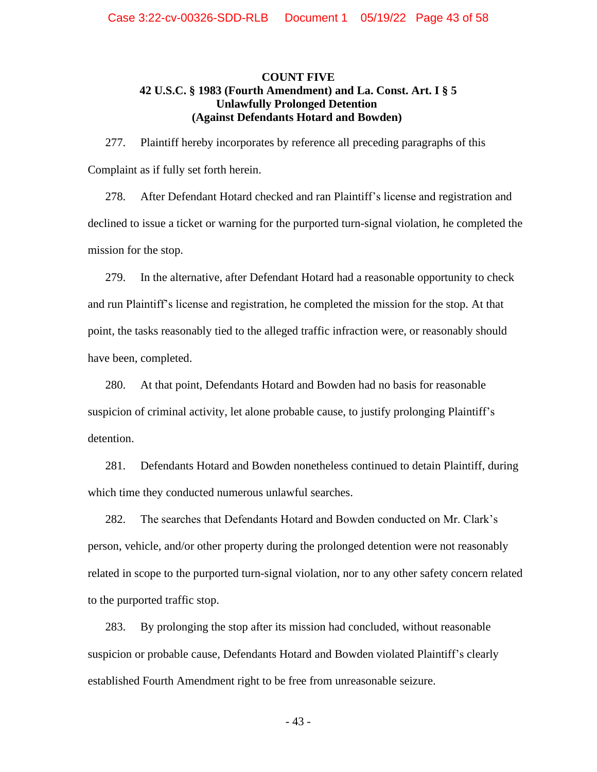### **COUNT FIVE 42 U.S.C. § 1983 (Fourth Amendment) and La. Const. Art. I § 5 Unlawfully Prolonged Detention (Against Defendants Hotard and Bowden)**

277. Plaintiff hereby incorporates by reference all preceding paragraphs of this Complaint as if fully set forth herein.

278. After Defendant Hotard checked and ran Plaintiff's license and registration and declined to issue a ticket or warning for the purported turn-signal violation, he completed the mission for the stop.

279. In the alternative, after Defendant Hotard had a reasonable opportunity to check and run Plaintiff's license and registration, he completed the mission for the stop. At that point, the tasks reasonably tied to the alleged traffic infraction were, or reasonably should have been, completed.

280. At that point, Defendants Hotard and Bowden had no basis for reasonable suspicion of criminal activity, let alone probable cause, to justify prolonging Plaintiff's detention.

281. Defendants Hotard and Bowden nonetheless continued to detain Plaintiff, during which time they conducted numerous unlawful searches.

282. The searches that Defendants Hotard and Bowden conducted on Mr. Clark's person, vehicle, and/or other property during the prolonged detention were not reasonably related in scope to the purported turn-signal violation, nor to any other safety concern related to the purported traffic stop.

283. By prolonging the stop after its mission had concluded, without reasonable suspicion or probable cause, Defendants Hotard and Bowden violated Plaintiff's clearly established Fourth Amendment right to be free from unreasonable seizure.

- 43 -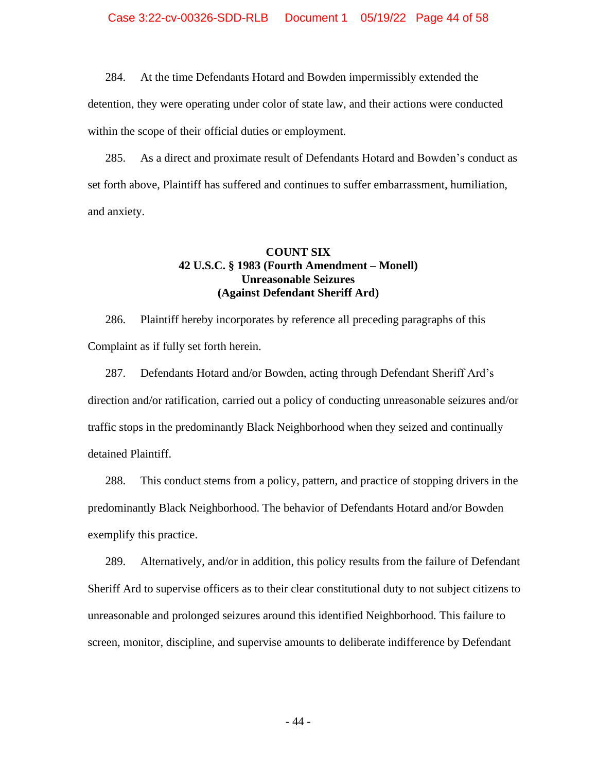284. At the time Defendants Hotard and Bowden impermissibly extended the

detention, they were operating under color of state law, and their actions were conducted within the scope of their official duties or employment.

285. As a direct and proximate result of Defendants Hotard and Bowden's conduct as set forth above, Plaintiff has suffered and continues to suffer embarrassment, humiliation, and anxiety.

### **COUNT SIX 42 U.S.C. § 1983 (Fourth Amendment – Monell) Unreasonable Seizures (Against Defendant Sheriff Ard)**

286. Plaintiff hereby incorporates by reference all preceding paragraphs of this Complaint as if fully set forth herein.

287. Defendants Hotard and/or Bowden, acting through Defendant Sheriff Ard's direction and/or ratification, carried out a policy of conducting unreasonable seizures and/or traffic stops in the predominantly Black Neighborhood when they seized and continually detained Plaintiff.

288. This conduct stems from a policy, pattern, and practice of stopping drivers in the predominantly Black Neighborhood. The behavior of Defendants Hotard and/or Bowden exemplify this practice.

289. Alternatively, and/or in addition, this policy results from the failure of Defendant Sheriff Ard to supervise officers as to their clear constitutional duty to not subject citizens to unreasonable and prolonged seizures around this identified Neighborhood. This failure to screen, monitor, discipline, and supervise amounts to deliberate indifference by Defendant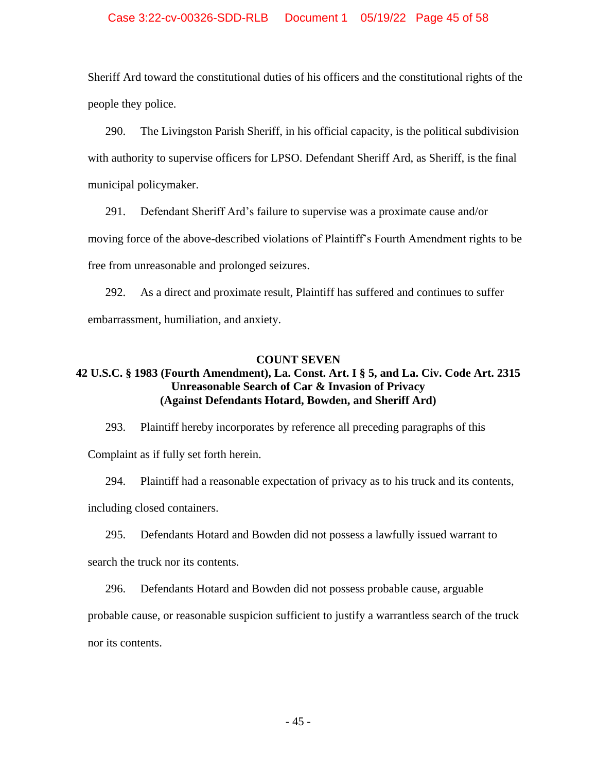### Case 3:22-cv-00326-SDD-RLB Document 1 05/19/22 Page 45 of 58

Sheriff Ard toward the constitutional duties of his officers and the constitutional rights of the people they police.

290. The Livingston Parish Sheriff, in his official capacity, is the political subdivision with authority to supervise officers for LPSO. Defendant Sheriff Ard, as Sheriff, is the final municipal policymaker.

291. Defendant Sheriff Ard's failure to supervise was a proximate cause and/or moving force of the above-described violations of Plaintiff's Fourth Amendment rights to be free from unreasonable and prolonged seizures.

292. As a direct and proximate result, Plaintiff has suffered and continues to suffer embarrassment, humiliation, and anxiety.

### **COUNT SEVEN**

# **42 U.S.C. § 1983 (Fourth Amendment), La. Const. Art. I § 5, and La. Civ. Code Art. 2315 Unreasonable Search of Car & Invasion of Privacy (Against Defendants Hotard, Bowden, and Sheriff Ard)**

293. Plaintiff hereby incorporates by reference all preceding paragraphs of this Complaint as if fully set forth herein.

294. Plaintiff had a reasonable expectation of privacy as to his truck and its contents, including closed containers.

295. Defendants Hotard and Bowden did not possess a lawfully issued warrant to search the truck nor its contents.

296. Defendants Hotard and Bowden did not possess probable cause, arguable probable cause, or reasonable suspicion sufficient to justify a warrantless search of the truck nor its contents.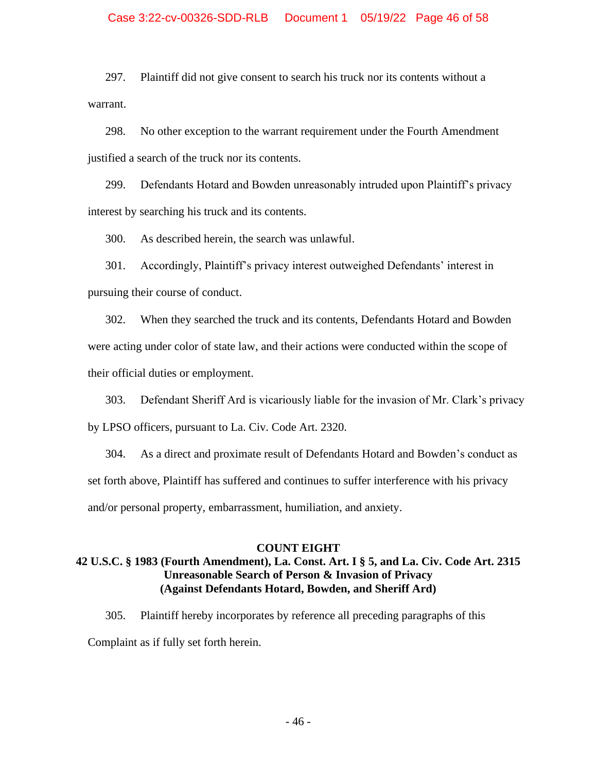### Case 3:22-cv-00326-SDD-RLB Document 1 05/19/22 Page 46 of 58

297. Plaintiff did not give consent to search his truck nor its contents without a warrant.

298. No other exception to the warrant requirement under the Fourth Amendment justified a search of the truck nor its contents.

299. Defendants Hotard and Bowden unreasonably intruded upon Plaintiff's privacy interest by searching his truck and its contents.

300. As described herein, the search was unlawful.

301. Accordingly, Plaintiff's privacy interest outweighed Defendants' interest in pursuing their course of conduct.

302. When they searched the truck and its contents, Defendants Hotard and Bowden were acting under color of state law, and their actions were conducted within the scope of their official duties or employment.

303. Defendant Sheriff Ard is vicariously liable for the invasion of Mr. Clark's privacy by LPSO officers, pursuant to La. Civ. Code Art. 2320.

304. As a direct and proximate result of Defendants Hotard and Bowden's conduct as set forth above, Plaintiff has suffered and continues to suffer interference with his privacy and/or personal property, embarrassment, humiliation, and anxiety.

### **COUNT EIGHT**

## **42 U.S.C. § 1983 (Fourth Amendment), La. Const. Art. I § 5, and La. Civ. Code Art. 2315 Unreasonable Search of Person & Invasion of Privacy (Against Defendants Hotard, Bowden, and Sheriff Ard)**

305. Plaintiff hereby incorporates by reference all preceding paragraphs of this Complaint as if fully set forth herein.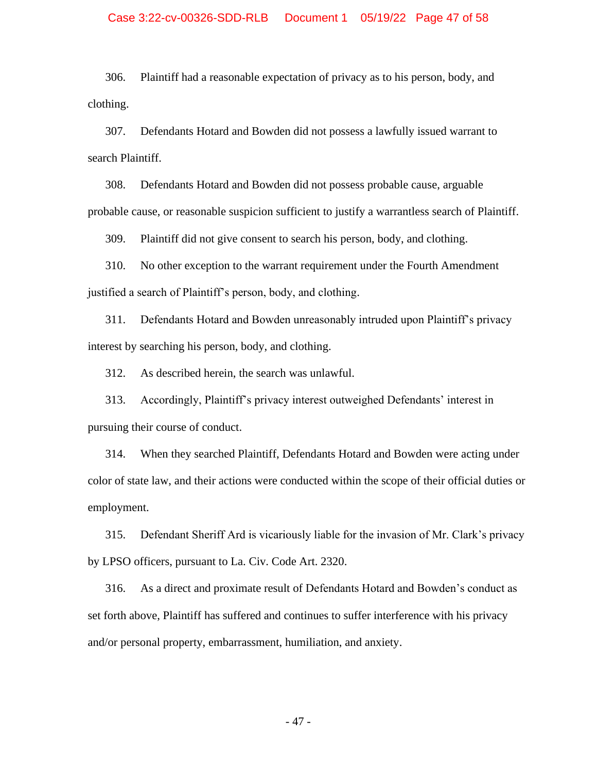### Case 3:22-cv-00326-SDD-RLB Document 1 05/19/22 Page 47 of 58

306. Plaintiff had a reasonable expectation of privacy as to his person, body, and clothing.

307. Defendants Hotard and Bowden did not possess a lawfully issued warrant to search Plaintiff.

308. Defendants Hotard and Bowden did not possess probable cause, arguable probable cause, or reasonable suspicion sufficient to justify a warrantless search of Plaintiff.

309. Plaintiff did not give consent to search his person, body, and clothing.

310. No other exception to the warrant requirement under the Fourth Amendment justified a search of Plaintiff's person, body, and clothing.

311. Defendants Hotard and Bowden unreasonably intruded upon Plaintiff's privacy interest by searching his person, body, and clothing.

312. As described herein, the search was unlawful.

313. Accordingly, Plaintiff's privacy interest outweighed Defendants' interest in pursuing their course of conduct.

314. When they searched Plaintiff, Defendants Hotard and Bowden were acting under color of state law, and their actions were conducted within the scope of their official duties or employment.

315. Defendant Sheriff Ard is vicariously liable for the invasion of Mr. Clark's privacy by LPSO officers, pursuant to La. Civ. Code Art. 2320.

316. As a direct and proximate result of Defendants Hotard and Bowden's conduct as set forth above, Plaintiff has suffered and continues to suffer interference with his privacy and/or personal property, embarrassment, humiliation, and anxiety.

- 47 -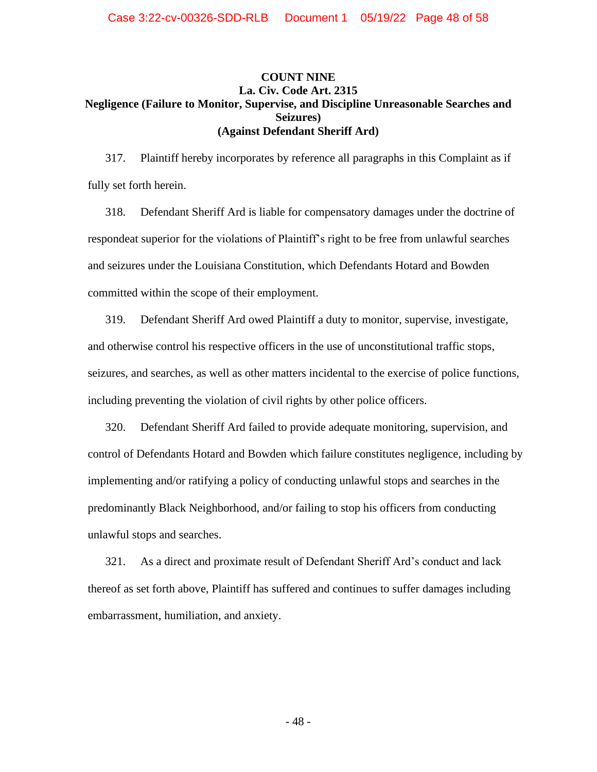### **COUNT NINE La. Civ. Code Art. 2315 Negligence (Failure to Monitor, Supervise, and Discipline Unreasonable Searches and Seizures) (Against Defendant Sheriff Ard)**

317. Plaintiff hereby incorporates by reference all paragraphs in this Complaint as if fully set forth herein.

318. Defendant Sheriff Ard is liable for compensatory damages under the doctrine of respondeat superior for the violations of Plaintiff's right to be free from unlawful searches and seizures under the Louisiana Constitution, which Defendants Hotard and Bowden committed within the scope of their employment.

319. Defendant Sheriff Ard owed Plaintiff a duty to monitor, supervise, investigate, and otherwise control his respective officers in the use of unconstitutional traffic stops, seizures, and searches, as well as other matters incidental to the exercise of police functions, including preventing the violation of civil rights by other police officers.

320. Defendant Sheriff Ard failed to provide adequate monitoring, supervision, and control of Defendants Hotard and Bowden which failure constitutes negligence, including by implementing and/or ratifying a policy of conducting unlawful stops and searches in the predominantly Black Neighborhood, and/or failing to stop his officers from conducting unlawful stops and searches.

321. As a direct and proximate result of Defendant Sheriff Ard's conduct and lack thereof as set forth above, Plaintiff has suffered and continues to suffer damages including embarrassment, humiliation, and anxiety.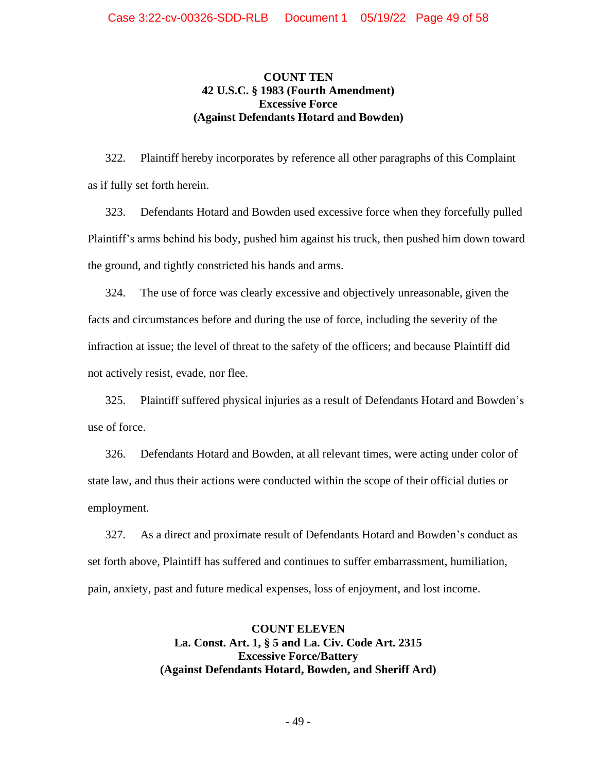### **COUNT TEN 42 U.S.C. § 1983 (Fourth Amendment) Excessive Force (Against Defendants Hotard and Bowden)**

322. Plaintiff hereby incorporates by reference all other paragraphs of this Complaint as if fully set forth herein.

323. Defendants Hotard and Bowden used excessive force when they forcefully pulled Plaintiff's arms behind his body, pushed him against his truck, then pushed him down toward the ground, and tightly constricted his hands and arms.

324. The use of force was clearly excessive and objectively unreasonable, given the facts and circumstances before and during the use of force, including the severity of the infraction at issue; the level of threat to the safety of the officers; and because Plaintiff did not actively resist, evade, nor flee.

325. Plaintiff suffered physical injuries as a result of Defendants Hotard and Bowden's use of force.

326. Defendants Hotard and Bowden, at all relevant times, were acting under color of state law, and thus their actions were conducted within the scope of their official duties or employment.

327. As a direct and proximate result of Defendants Hotard and Bowden's conduct as set forth above, Plaintiff has suffered and continues to suffer embarrassment, humiliation, pain, anxiety, past and future medical expenses, loss of enjoyment, and lost income.

> **COUNT ELEVEN La. Const. Art. 1, § 5 and La. Civ. Code Art. 2315 Excessive Force/Battery (Against Defendants Hotard, Bowden, and Sheriff Ard)**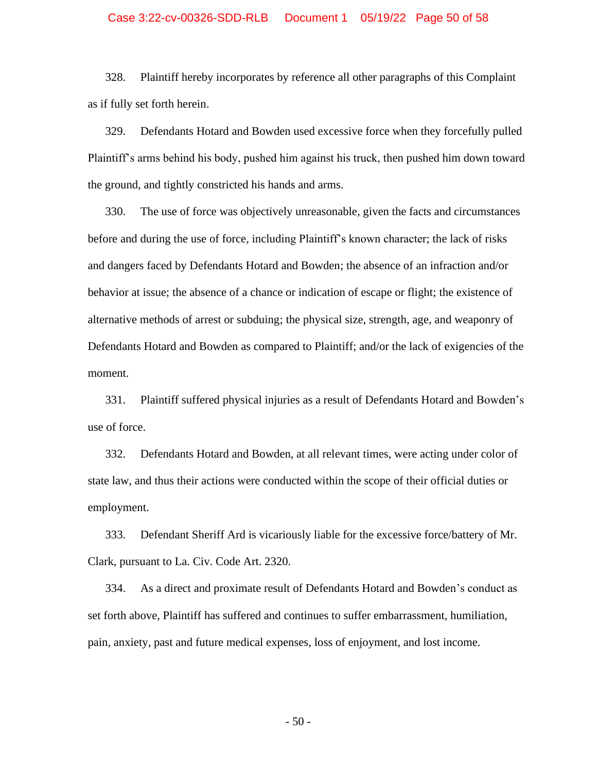### Case 3:22-cv-00326-SDD-RLB Document 1 05/19/22 Page 50 of 58

328. Plaintiff hereby incorporates by reference all other paragraphs of this Complaint as if fully set forth herein.

329. Defendants Hotard and Bowden used excessive force when they forcefully pulled Plaintiff's arms behind his body, pushed him against his truck, then pushed him down toward the ground, and tightly constricted his hands and arms.

330. The use of force was objectively unreasonable, given the facts and circumstances before and during the use of force, including Plaintiff's known character; the lack of risks and dangers faced by Defendants Hotard and Bowden; the absence of an infraction and/or behavior at issue; the absence of a chance or indication of escape or flight; the existence of alternative methods of arrest or subduing; the physical size, strength, age, and weaponry of Defendants Hotard and Bowden as compared to Plaintiff; and/or the lack of exigencies of the moment.

331. Plaintiff suffered physical injuries as a result of Defendants Hotard and Bowden's use of force.

332. Defendants Hotard and Bowden, at all relevant times, were acting under color of state law, and thus their actions were conducted within the scope of their official duties or employment.

333. Defendant Sheriff Ard is vicariously liable for the excessive force/battery of Mr. Clark, pursuant to La. Civ. Code Art. 2320.

334. As a direct and proximate result of Defendants Hotard and Bowden's conduct as set forth above, Plaintiff has suffered and continues to suffer embarrassment, humiliation, pain, anxiety, past and future medical expenses, loss of enjoyment, and lost income.

- 50 -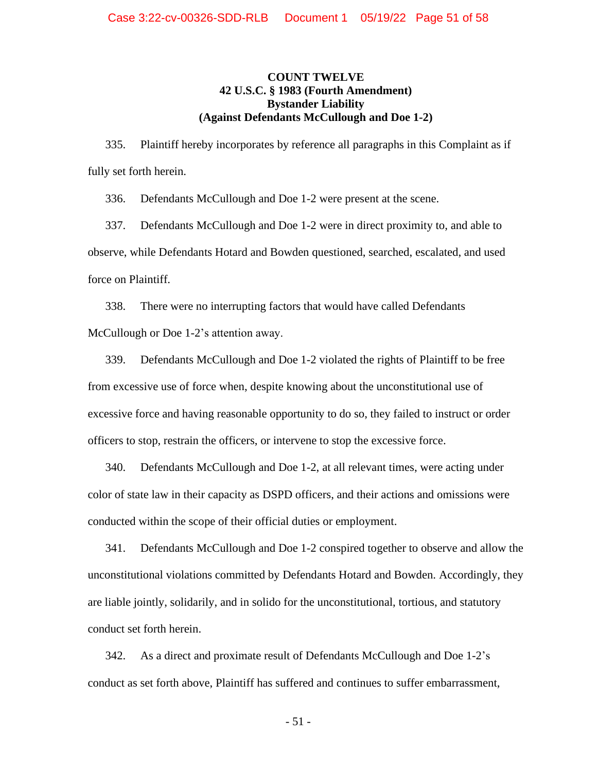### **COUNT TWELVE 42 U.S.C. § 1983 (Fourth Amendment) Bystander Liability (Against Defendants McCullough and Doe 1-2)**

335. Plaintiff hereby incorporates by reference all paragraphs in this Complaint as if fully set forth herein.

336. Defendants McCullough and Doe 1-2 were present at the scene.

337. Defendants McCullough and Doe 1-2 were in direct proximity to, and able to observe, while Defendants Hotard and Bowden questioned, searched, escalated, and used force on Plaintiff.

338. There were no interrupting factors that would have called Defendants McCullough or Doe 1-2's attention away.

339. Defendants McCullough and Doe 1-2 violated the rights of Plaintiff to be free from excessive use of force when, despite knowing about the unconstitutional use of excessive force and having reasonable opportunity to do so, they failed to instruct or order officers to stop, restrain the officers, or intervene to stop the excessive force.

340. Defendants McCullough and Doe 1-2, at all relevant times, were acting under color of state law in their capacity as DSPD officers, and their actions and omissions were conducted within the scope of their official duties or employment.

341. Defendants McCullough and Doe 1-2 conspired together to observe and allow the unconstitutional violations committed by Defendants Hotard and Bowden. Accordingly, they are liable jointly, solidarily, and in solido for the unconstitutional, tortious, and statutory conduct set forth herein.

342. As a direct and proximate result of Defendants McCullough and Doe 1-2's conduct as set forth above, Plaintiff has suffered and continues to suffer embarrassment,

- 51 -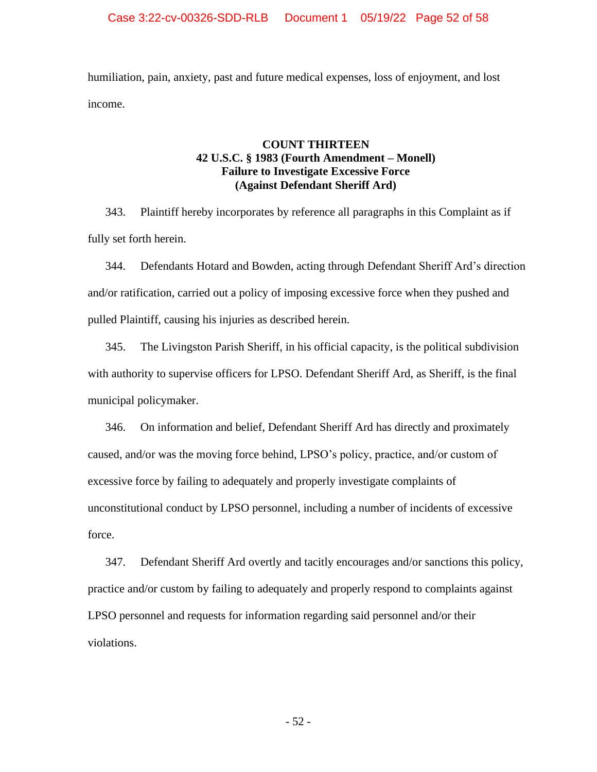humiliation, pain, anxiety, past and future medical expenses, loss of enjoyment, and lost income.

### **COUNT THIRTEEN 42 U.S.C. § 1983 (Fourth Amendment – Monell) Failure to Investigate Excessive Force (Against Defendant Sheriff Ard)**

343. Plaintiff hereby incorporates by reference all paragraphs in this Complaint as if fully set forth herein.

344. Defendants Hotard and Bowden, acting through Defendant Sheriff Ard's direction and/or ratification, carried out a policy of imposing excessive force when they pushed and pulled Plaintiff, causing his injuries as described herein.

345. The Livingston Parish Sheriff, in his official capacity, is the political subdivision with authority to supervise officers for LPSO. Defendant Sheriff Ard, as Sheriff, is the final municipal policymaker.

346. On information and belief, Defendant Sheriff Ard has directly and proximately caused, and/or was the moving force behind, LPSO's policy, practice, and/or custom of excessive force by failing to adequately and properly investigate complaints of unconstitutional conduct by LPSO personnel, including a number of incidents of excessive force.

347. Defendant Sheriff Ard overtly and tacitly encourages and/or sanctions this policy, practice and/or custom by failing to adequately and properly respond to complaints against LPSO personnel and requests for information regarding said personnel and/or their violations.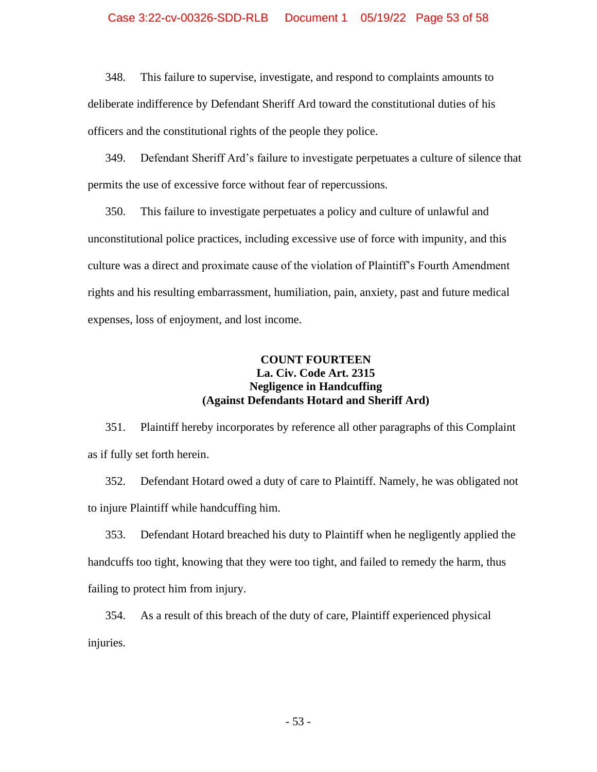### Case 3:22-cv-00326-SDD-RLB Document 1 05/19/22 Page 53 of 58

348. This failure to supervise, investigate, and respond to complaints amounts to deliberate indifference by Defendant Sheriff Ard toward the constitutional duties of his officers and the constitutional rights of the people they police.

349. Defendant Sheriff Ard's failure to investigate perpetuates a culture of silence that permits the use of excessive force without fear of repercussions.

350. This failure to investigate perpetuates a policy and culture of unlawful and unconstitutional police practices, including excessive use of force with impunity, and this culture was a direct and proximate cause of the violation of Plaintiff's Fourth Amendment rights and his resulting embarrassment, humiliation, pain, anxiety, past and future medical expenses, loss of enjoyment, and lost income.

## **COUNT FOURTEEN La. Civ. Code Art. 2315 Negligence in Handcuffing (Against Defendants Hotard and Sheriff Ard)**

351. Plaintiff hereby incorporates by reference all other paragraphs of this Complaint as if fully set forth herein.

352. Defendant Hotard owed a duty of care to Plaintiff. Namely, he was obligated not to injure Plaintiff while handcuffing him.

353. Defendant Hotard breached his duty to Plaintiff when he negligently applied the handcuffs too tight, knowing that they were too tight, and failed to remedy the harm, thus failing to protect him from injury.

354. As a result of this breach of the duty of care, Plaintiff experienced physical injuries.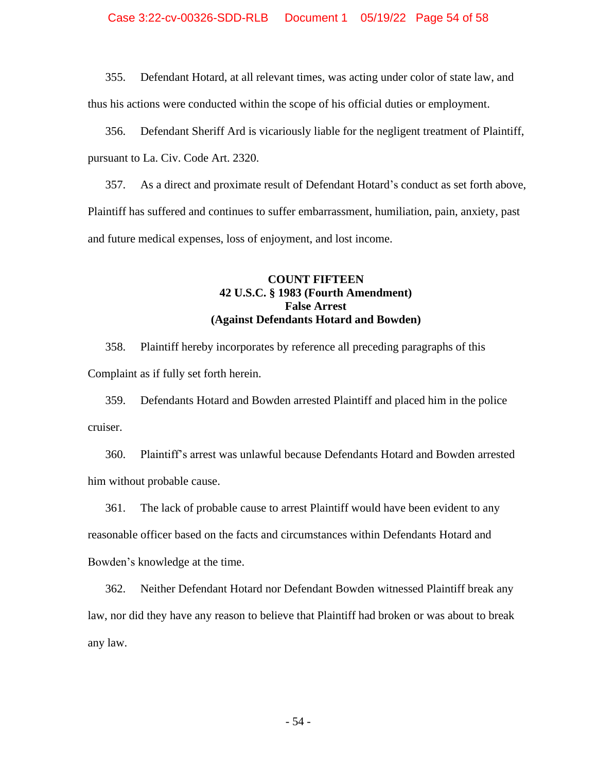### Case 3:22-cv-00326-SDD-RLB Document 1 05/19/22 Page 54 of 58

355. Defendant Hotard, at all relevant times, was acting under color of state law, and thus his actions were conducted within the scope of his official duties or employment.

356. Defendant Sheriff Ard is vicariously liable for the negligent treatment of Plaintiff, pursuant to La. Civ. Code Art. 2320.

357. As a direct and proximate result of Defendant Hotard's conduct as set forth above, Plaintiff has suffered and continues to suffer embarrassment, humiliation, pain, anxiety, past and future medical expenses, loss of enjoyment, and lost income.

## **COUNT FIFTEEN 42 U.S.C. § 1983 (Fourth Amendment) False Arrest (Against Defendants Hotard and Bowden)**

358. Plaintiff hereby incorporates by reference all preceding paragraphs of this Complaint as if fully set forth herein.

359. Defendants Hotard and Bowden arrested Plaintiff and placed him in the police cruiser.

360. Plaintiff's arrest was unlawful because Defendants Hotard and Bowden arrested him without probable cause.

361. The lack of probable cause to arrest Plaintiff would have been evident to any reasonable officer based on the facts and circumstances within Defendants Hotard and Bowden's knowledge at the time.

362. Neither Defendant Hotard nor Defendant Bowden witnessed Plaintiff break any law, nor did they have any reason to believe that Plaintiff had broken or was about to break any law.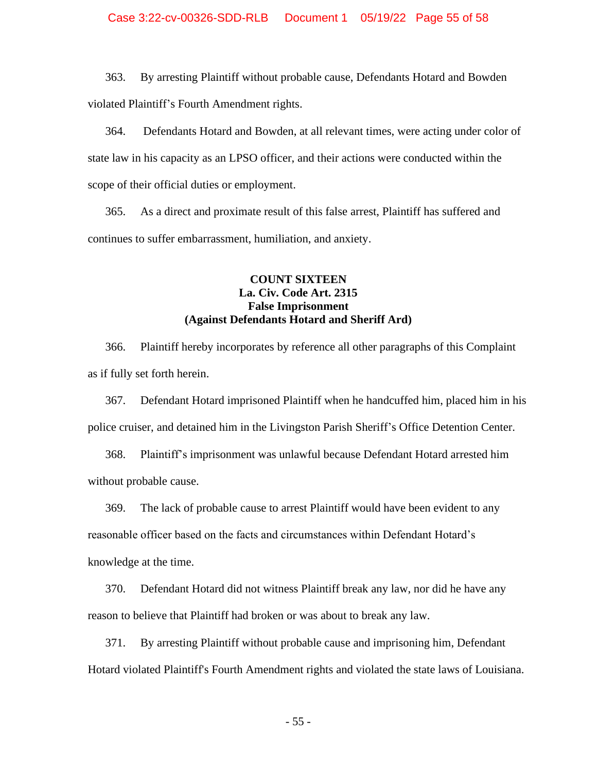363. By arresting Plaintiff without probable cause, Defendants Hotard and Bowden violated Plaintiff's Fourth Amendment rights.

364. Defendants Hotard and Bowden, at all relevant times, were acting under color of state law in his capacity as an LPSO officer, and their actions were conducted within the scope of their official duties or employment.

365. As a direct and proximate result of this false arrest, Plaintiff has suffered and continues to suffer embarrassment, humiliation, and anxiety.

## **COUNT SIXTEEN La. Civ. Code Art. 2315 False Imprisonment (Against Defendants Hotard and Sheriff Ard)**

366. Plaintiff hereby incorporates by reference all other paragraphs of this Complaint as if fully set forth herein.

367. Defendant Hotard imprisoned Plaintiff when he handcuffed him, placed him in his police cruiser, and detained him in the Livingston Parish Sheriff's Office Detention Center.

368. Plaintiff's imprisonment was unlawful because Defendant Hotard arrested him without probable cause.

369. The lack of probable cause to arrest Plaintiff would have been evident to any reasonable officer based on the facts and circumstances within Defendant Hotard's knowledge at the time.

370. Defendant Hotard did not witness Plaintiff break any law, nor did he have any reason to believe that Plaintiff had broken or was about to break any law.

371. By arresting Plaintiff without probable cause and imprisoning him, Defendant Hotard violated Plaintiff's Fourth Amendment rights and violated the state laws of Louisiana.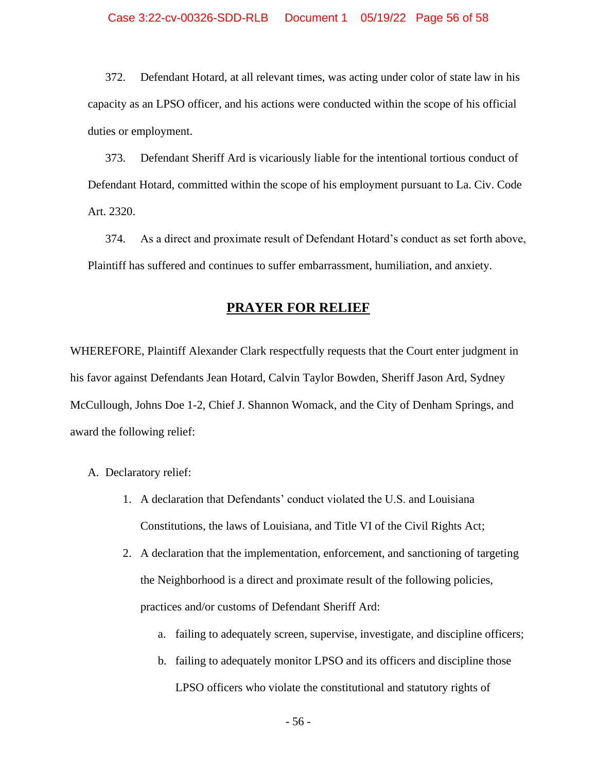372. Defendant Hotard, at all relevant times, was acting under color of state law in his capacity as an LPSO officer, and his actions were conducted within the scope of his official duties or employment.

373. Defendant Sheriff Ard is vicariously liable for the intentional tortious conduct of Defendant Hotard, committed within the scope of his employment pursuant to La. Civ. Code Art. 2320.

374. As a direct and proximate result of Defendant Hotard's conduct as set forth above, Plaintiff has suffered and continues to suffer embarrassment, humiliation, and anxiety.

## **PRAYER FOR RELIEF**

WHEREFORE, Plaintiff Alexander Clark respectfully requests that the Court enter judgment in his favor against Defendants Jean Hotard, Calvin Taylor Bowden, Sheriff Jason Ard, Sydney McCullough, Johns Doe 1-2, Chief J. Shannon Womack, and the City of Denham Springs, and award the following relief:

- A. Declaratory relief:
	- 1. A declaration that Defendants' conduct violated the U.S. and Louisiana Constitutions, the laws of Louisiana, and Title VI of the Civil Rights Act;
	- 2. A declaration that the implementation, enforcement, and sanctioning of targeting the Neighborhood is a direct and proximate result of the following policies, practices and/or customs of Defendant Sheriff Ard:
		- a. failing to adequately screen, supervise, investigate, and discipline officers;
		- b. failing to adequately monitor LPSO and its officers and discipline those LPSO officers who violate the constitutional and statutory rights of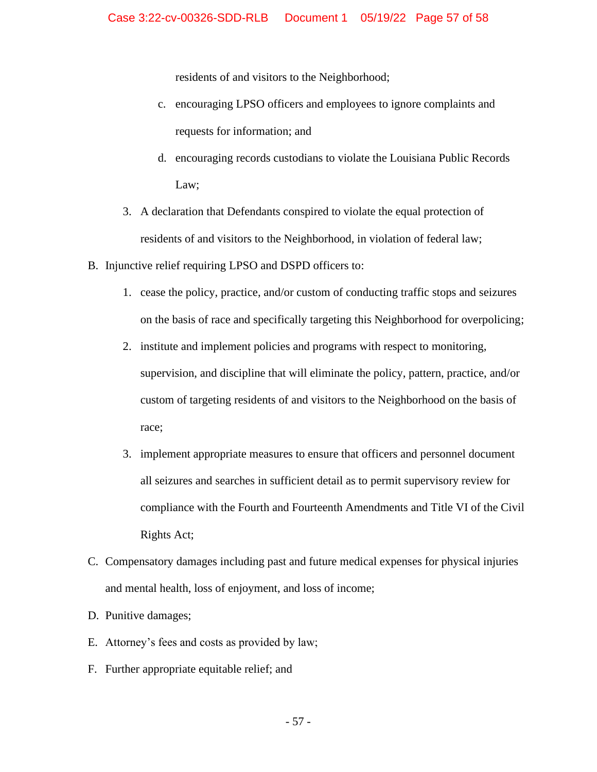residents of and visitors to the Neighborhood;

- c. encouraging LPSO officers and employees to ignore complaints and requests for information; and
- d. encouraging records custodians to violate the Louisiana Public Records Law;
- 3. A declaration that Defendants conspired to violate the equal protection of residents of and visitors to the Neighborhood, in violation of federal law;
- B. Injunctive relief requiring LPSO and DSPD officers to:
	- 1. cease the policy, practice, and/or custom of conducting traffic stops and seizures on the basis of race and specifically targeting this Neighborhood for overpolicing;
	- 2. institute and implement policies and programs with respect to monitoring, supervision, and discipline that will eliminate the policy, pattern, practice, and/or custom of targeting residents of and visitors to the Neighborhood on the basis of race;
	- 3. implement appropriate measures to ensure that officers and personnel document all seizures and searches in sufficient detail as to permit supervisory review for compliance with the Fourth and Fourteenth Amendments and Title VI of the Civil Rights Act;
- C. Compensatory damages including past and future medical expenses for physical injuries and mental health, loss of enjoyment, and loss of income;
- D. Punitive damages;
- E. Attorney's fees and costs as provided by law;
- F. Further appropriate equitable relief; and